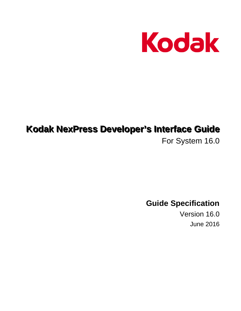

# **Kodak NexPress Developer's Interface Guide**

For System 16.0

**Guide Specification** 

Version 16.0 June 2016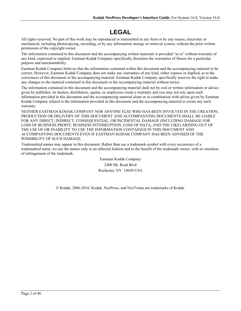# **LEGAL**

All rights reserved. No part of this work may be reproduced or transmitted in any form or by any means, electronic or mechanical, including photocopying, recording, or by any information storage or retrieval system, without the prior written permission of the copyright owner.

The information contained in this document and the accompanying written materials is provided "as is" without warranty of any kind, expressed or implied. Eastman Kodak Company specifically disclaims the warranties of fitness for a particular purpose and merchantability.

Eastman Kodak Company believes that the information contained within this document and the accompanying material to be correct. However, Eastman Kodak Company does not make any warranties of any kind, either express or implied, as to the correctness of this document or the accompanying material. Eastman Kodak Company specifically reserves the right to make any changes to the material contained in this document or the accompanying material without notice.

The information contained in this document and the accompanying material shall not by oral or written information or advice given by publisher, its dealers, distributors, agents, or employees create a warranty and you may not rely upon such information provided in this document and the accompanying material alone or in combination with advise given by Eastman Kodak Company related to the information provided in this document and the accompanying material to create any such warranty.

NEITHER EASTMAN KODAK COMPANY NOR ANYONE ELSE WHO HAS BEEN INVOLVED IN THE CREATION, PRODUCTION OR DELIVERY OF THIS DOCUMENT AND ACCOMPANYING DOCUMENTS SHALL BE LIABLE FOR ANY DIRECT, INDIRECT, CONSEQUENTIAL, OR INCIDENTAL DAMAGE (INCLUDING DAMAGE FOR LOSS OF BUSINESS PROFIT, BUSINESS INTERRUPTION, LOSS OF DATA, AND THE LIKE) ARISING OUT OF THE USE OF OR INABILITY TO USE THE INFORMATION CONTAINED IN THIS DOCUMENT AND ACCOMPANYING DOCUMENTS EVEN IF EASTMAN KODAK COMPANY HAS BEEN ADVISED OF THE POSSIBILITY OF SUCH DAMAGE.

Trademarked names may appear in this document. Rather than use a trademark symbol with every occurrence of a trademarked name, we use the names only in an editorial fashion and to the benefit of the trademark owner, with no intention of infringement of the trademark.

> Eastman Kodak Company 2400 Mt. Read Blvd Rochester, NY 14650 USA

© Kodak, 2006-2016. Kodak, NexPress, and NexTreme are trademarks of Kodak.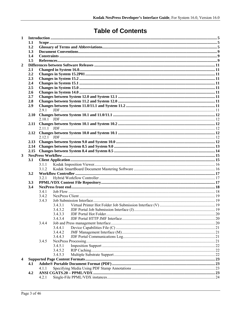# **Table of Contents**

| $\mathbf{1}$   |      |         |         |  |  |  |
|----------------|------|---------|---------|--|--|--|
|                | 1.1  |         |         |  |  |  |
|                | 1.2  |         |         |  |  |  |
|                | 1.3  |         |         |  |  |  |
|                | 1.4  |         |         |  |  |  |
|                | 1.5  |         |         |  |  |  |
| $\overline{2}$ |      |         |         |  |  |  |
|                | 2.1  |         |         |  |  |  |
|                | 2.2  |         |         |  |  |  |
|                | 2.3  |         |         |  |  |  |
|                | 2.4  |         |         |  |  |  |
|                | 2.5  |         |         |  |  |  |
|                | 2.6  |         |         |  |  |  |
|                | 2.7  |         |         |  |  |  |
|                | 2.8  |         |         |  |  |  |
|                | 2.9  |         |         |  |  |  |
|                |      | 291     |         |  |  |  |
|                | 2.10 |         |         |  |  |  |
|                |      |         |         |  |  |  |
|                | 2.11 |         |         |  |  |  |
|                |      | 2 1 1 1 |         |  |  |  |
|                | 2.12 |         |         |  |  |  |
|                | 2.13 |         |         |  |  |  |
|                | 2.14 |         |         |  |  |  |
|                | 2.15 |         |         |  |  |  |
| 3              |      |         |         |  |  |  |
|                | 3.1  |         |         |  |  |  |
|                |      | 3.1.1   |         |  |  |  |
|                |      | 3.1.2   |         |  |  |  |
|                | 3.2  |         |         |  |  |  |
|                |      | 3.2.1   |         |  |  |  |
|                | 3.3  |         |         |  |  |  |
|                | 3.4  |         |         |  |  |  |
|                |      | 3.4.1   |         |  |  |  |
|                |      | 3.4.2   |         |  |  |  |
|                |      | 3.4.3   |         |  |  |  |
|                |      |         | 3.4.3.1 |  |  |  |
|                |      |         | 3.4.3.2 |  |  |  |
|                |      |         | 3.4.3.3 |  |  |  |
|                |      |         | 3.4.3.4 |  |  |  |
|                |      | 3.4.4   |         |  |  |  |
|                |      |         | 3.4.4.1 |  |  |  |
|                |      |         | 3.4.4.2 |  |  |  |
|                |      |         | 3.4.4.3 |  |  |  |
|                |      | 3.4.5   |         |  |  |  |
|                |      |         | 3.4.5.1 |  |  |  |
|                |      |         | 3.4.5.2 |  |  |  |
|                |      |         | 3.4.5.3 |  |  |  |
| 4              |      |         |         |  |  |  |
|                | 4.1  |         |         |  |  |  |
|                |      | 4.1.1   |         |  |  |  |
|                | 4.2  |         |         |  |  |  |
|                |      | 4.2.1   |         |  |  |  |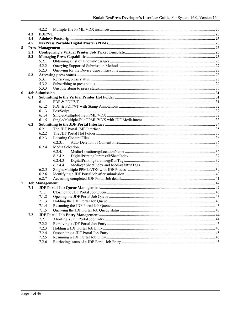|   |     | 4.2.2 |         |  |  |  |  |
|---|-----|-------|---------|--|--|--|--|
|   | 4.3 |       |         |  |  |  |  |
|   | 4.4 |       |         |  |  |  |  |
|   | 4.5 |       |         |  |  |  |  |
| 5 |     |       |         |  |  |  |  |
|   | 5.1 |       |         |  |  |  |  |
|   | 5.2 |       |         |  |  |  |  |
|   |     | 5.2.1 |         |  |  |  |  |
|   |     | 5.2.2 |         |  |  |  |  |
|   |     | 5.2.3 |         |  |  |  |  |
|   | 5.3 |       |         |  |  |  |  |
|   |     | 5.3.1 |         |  |  |  |  |
|   |     | 5.3.2 |         |  |  |  |  |
|   |     | 5.3.3 |         |  |  |  |  |
| 6 |     |       |         |  |  |  |  |
|   | 6.1 |       |         |  |  |  |  |
|   |     | 6.1.1 |         |  |  |  |  |
|   |     | 6.1.2 |         |  |  |  |  |
|   |     | 6.1.3 |         |  |  |  |  |
|   |     | 6.1.4 |         |  |  |  |  |
|   |     | 6.1.5 |         |  |  |  |  |
|   | 6.2 |       |         |  |  |  |  |
|   |     | 6.2.1 |         |  |  |  |  |
|   |     | 6.2.2 |         |  |  |  |  |
|   |     | 6.2.3 |         |  |  |  |  |
|   |     |       | 6.2.3.1 |  |  |  |  |
|   |     | 6.2.4 |         |  |  |  |  |
|   |     |       | 6.2.4.1 |  |  |  |  |
|   |     |       | 6.2.4.2 |  |  |  |  |
|   |     |       | 6.2.4.3 |  |  |  |  |
|   |     |       | 6.2.4.4 |  |  |  |  |
|   |     | 6.2.5 |         |  |  |  |  |
|   |     | 6.2.6 |         |  |  |  |  |
|   |     | 6.2.7 |         |  |  |  |  |
| 7 |     |       |         |  |  |  |  |
|   | 7.1 |       |         |  |  |  |  |
|   |     | 7.1.1 |         |  |  |  |  |
|   |     | 7.1.2 |         |  |  |  |  |
|   |     | 7.1.3 |         |  |  |  |  |
|   |     | 7.1.4 |         |  |  |  |  |
|   |     | 7.1.5 |         |  |  |  |  |
|   | 7.2 |       |         |  |  |  |  |
|   |     | 7.2.1 |         |  |  |  |  |
|   |     | 7.2.2 |         |  |  |  |  |
|   |     | 7.2.3 |         |  |  |  |  |
|   |     | 7.2.4 |         |  |  |  |  |
|   |     | 7.2.5 |         |  |  |  |  |
|   |     | 7.2.6 |         |  |  |  |  |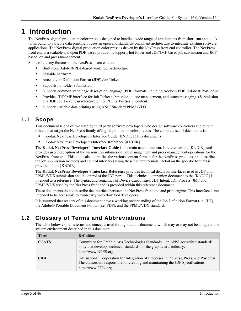# **1 Introduction**

The NexPress digital production color press is designed to handle a wide range of applications from short-run and quick turnaround, to variable data printing. It uses an open and standards-compliant architecture to integrate existing software applications. The NexPress digital production color press is driven by the NexPress front end controller. The NexPress front end is a scalable and open PDF-based product. It supports hot folder and JDF/JMF-based job submission and JMFbased job and press management.

Some of the key features of the NexPress front end are:

- Built upon Adobe® PDF-based workflow architecture
- **Scalable hardware**
- Accepts Job Definition Format (JDF) Job Tickets
- Supports hot folder submission
- Supports common static page description language (PDL) formats including Adobe® PDF, Adobe® PostScript.
- **Provides JDF/JMF interface for Job Ticket submission, queue management, and status messaging. (Submission** of a JDF Job Ticket can reference either PDF or Postscript content.)
- Supports variable data printing using ANSI Standard PPML/VDX.

## **1.1 Scope**

This document is one of two used by third party software developers who design software controllers and output drivers that target the NexPress family of digital production color presses. The complete set of documents is:

- Kodak NexPress Developer's Interface Guide [KNDIG] (This document)
- Kodak NexPress Developer's Interface Reference [KNDIR]

The **Kodak NexPress Developer's Interface Guide** is the main user document. It references the [KNDIR], and provides user description of the various job submission, job management and press management operations for the NexPress front end. This guide also identifies the various content formats for the NexPress products, and describes the job submission methods and control interfaces using these content formats. Detail on the specific formats is provided in the [KNDIR].

The **Kodak NexPress Developer's Interface Reference** provides technical detail on interfaces used in JDF and PPML/VDX submission and in control of the JDF portal. This technical companion document to the [KNDIG] is intended as a reference. The syntax and semantics of Device Capabilities, JDF Intent, JDF Process, JMF and PPML/VDX used by the NexPress front end is provided within this reference document.

These documents do not describe the interface between the NexPress front end and print engine. This interface is not intended to be accessible to third-party workflow tool developers.

It is assumed that readers of this document have a working understanding of the Job Definition Format (i.e. JDF), the Adobe® Portable Document Format (i.e. PDF), and the PPML/VDX standard.

## **1.2 Glossary of Terms and Abbreviations**

The table below explains terms and concepts used throughout this document, which may or may not be unique to the system environment described in this document.

| Term         | <b>Definition</b>                                                                                                                                                                                   |
|--------------|-----------------------------------------------------------------------------------------------------------------------------------------------------------------------------------------------------|
| <b>CGATS</b> | Committee for Graphic Arts Technologies Standards – an ANSI accredited standards<br>body that develops technical standards for the graphic arts industry.<br>http://www.NPES.org                    |
| CIP4         | International Cooperation for Integration of Processes in Prepress, Press, and Postpress.<br>The consortium responsible for creating and maintaining the JDF Specifications.<br>http://www.CIP4.org |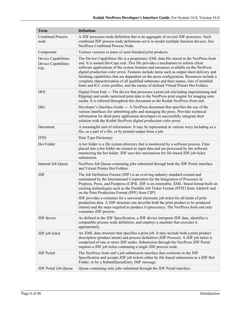| <b>Term</b>                                         | <b>Definition</b>                                                                                                                                                                                                                                                                                                                                                                                                                                                                                                                                                                                                                                                                                      |  |  |  |
|-----------------------------------------------------|--------------------------------------------------------------------------------------------------------------------------------------------------------------------------------------------------------------------------------------------------------------------------------------------------------------------------------------------------------------------------------------------------------------------------------------------------------------------------------------------------------------------------------------------------------------------------------------------------------------------------------------------------------------------------------------------------------|--|--|--|
| <b>Combined Process</b><br>node                     | A JDF processes node definition that is an aggregate of several JDF processes. Such<br>combined JDF process node definitions serve to model multiple function devices. See<br>NexPress Combined Process Node.                                                                                                                                                                                                                                                                                                                                                                                                                                                                                          |  |  |  |
| Component                                           | Various versions or parts of semi-finished print products.                                                                                                                                                                                                                                                                                                                                                                                                                                                                                                                                                                                                                                             |  |  |  |
| Device Capabilities;<br>Device Capabilities<br>File | The Device Capabilities file is a proprietary XML data file stored in the NexPress front<br>end. It is named DevCaps.xml. This file provides a mechanism to inform client<br>software applications of the system features and resources available on the NexPress<br>digital production color press. Features include items such as output sheet delivery and<br>finishing capabilities that are dependent on the press configuration. Resources include a<br>complete characterization of all qualified substrates and their names, lists of installed<br>fonts and ICC color profiles, and the names of defined Virtual Printer Hot Folders.                                                         |  |  |  |
| <b>DFE</b>                                          | Digital Front End — The device that processes a print job (including impositioning and<br>Ripping) and sends rasterized print data to the NexPress print engine for imaging onto<br>media. It is referred throughout this document as the Kodak NexPress front end.                                                                                                                                                                                                                                                                                                                                                                                                                                    |  |  |  |
| <b>DIG</b>                                          | Developer's Interface Guide - A NexPress document that specifies the use of the<br>various interfaces for submitting jobs and managing the press. Provides technical<br>information for third-party application developers to successfully integrate their<br>solution with the Kodak NexPress digital production color press.                                                                                                                                                                                                                                                                                                                                                                         |  |  |  |
| Document                                            | A meaningful unit of information. It may be represented in various ways including as a<br>file, as a part of a file, or by printed output from a job.                                                                                                                                                                                                                                                                                                                                                                                                                                                                                                                                                  |  |  |  |
| <b>DTD</b>                                          | Data Type Dictionary                                                                                                                                                                                                                                                                                                                                                                                                                                                                                                                                                                                                                                                                                   |  |  |  |
| Hot Folder                                          | A hot folder is a file system directory that is monitored by a software process. Files<br>placed into a hot folder are treated as input data and are processed by the software<br>monitoring the hot folder. JDF uses this mechanism for file-based JDF job ticket<br>submission.                                                                                                                                                                                                                                                                                                                                                                                                                      |  |  |  |
| Internal Job Queue                                  | NexPress Job Queue containing jobs submitted through both the JDF Portal interface<br>and Virtual Printer Hot Folders.                                                                                                                                                                                                                                                                                                                                                                                                                                                                                                                                                                                 |  |  |  |
| JDF                                                 | The Job Definition Format (JDF) is an evolving industry standard created and<br>maintained by the International Cooperation for the Integration of Processes in<br>Prepress, Press, and Postpress (CIP4). JDF is an extensible, XML-based format built on<br>existing technologies such as the Portable Job Ticket Format (PJTF) from Adobe® and<br>on the Print Production Format (PPF) from CIP3.<br>JDF provides a container for a universal electronic job ticket for all kinds of print<br>production data. A JDF structure can describe both the print product to be produced<br>(intent) and the steps required to produce it (processes). The NexPress front end only<br>consumes JDF process. |  |  |  |
| JDF device                                          | As defined in the JDF Specification, a JDF device interprets JDF data, identifies a<br>compatible process node definition, and employs a machine that executes it<br>appropriately.                                                                                                                                                                                                                                                                                                                                                                                                                                                                                                                    |  |  |  |
| JDF job ticket                                      | An XML data structure that specifies a print job. It may include both a print product<br>description (product intent) and process definition (JDF Process). A JDF job ticket is<br>comprised of one or more JDF nodes. Submission through the NexPress JDF Portal<br>requires a JDF job ticket containing a single JDF process node.                                                                                                                                                                                                                                                                                                                                                                   |  |  |  |
| <b>JDF</b> Portal                                   | The NexPress front end's job submission interface that conforms to the JDF<br>Specification and accepts JDF job tickets either by file-based submission to a JDF Hot<br>Folder, or by a SubmitQueueEntry JMF message.                                                                                                                                                                                                                                                                                                                                                                                                                                                                                  |  |  |  |
| JDF Portal Job Queue                                | Queue containing only jobs submitted through the JDF Portal interface.                                                                                                                                                                                                                                                                                                                                                                                                                                                                                                                                                                                                                                 |  |  |  |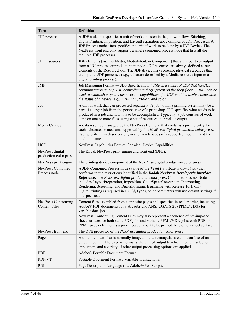| <b>Term</b>                                 | <b>Definition</b>                                                                                                                                                                                                                                                                                                                                                                                                                                                                                                                                |  |  |  |
|---------------------------------------------|--------------------------------------------------------------------------------------------------------------------------------------------------------------------------------------------------------------------------------------------------------------------------------------------------------------------------------------------------------------------------------------------------------------------------------------------------------------------------------------------------------------------------------------------------|--|--|--|
| JDF process                                 | A JDF node that specifies a unit of work or a step in the job workflow. Stitching,<br>DigitalPrinting, Imposition, and LayoutPreparation are examples of JDF Processes. A<br>JDF Process node often specifies the unit of work to be done by a JDF Device. The<br>NexPress front end only supports a single combined process node that lists all the<br>required JDF processes.                                                                                                                                                                  |  |  |  |
| JDF resources                               | JDF elements (such as Media, MediaIntent, or Component) that are input to or output<br>from a JDF process or product intent node. JDF resources are always defined as sub-<br>elements of the ResourcePool. The JDF device may consume physical resources that<br>are input to JDF processes (e.g., substrate described by a Media resource input to a<br>digital printing process).                                                                                                                                                             |  |  |  |
| JMF                                         | Job Messaging Format — JDF Specification: "JMF is a subset of JDF that handles<br>communication among JDF controllers and equipment on the shop floor JMF can be<br>used to establish a queue, discover the capabilities of a JDF-enabled device, determine<br>the status of a device, e.g., "RIPing", "Idle", and so on."                                                                                                                                                                                                                       |  |  |  |
| Job                                         | A unit of work that can processed separately. A job within a printing system may be a<br>part of a larger job from the perspective of a print shop. JDF specifies what needs to be<br>produced in a job and how it is to be accomplished. Typically, a job consists of work<br>done on one or more files, using a set of resources, to produce output.                                                                                                                                                                                           |  |  |  |
| Media Catalog                               | A data resource managed by the NexPress front end that contains a profile entry for<br>each substrate, or medium, supported by this NexPress digital production color press.<br>Each profile entry describes physical characteristics of a supported medium, and the<br>medium name.                                                                                                                                                                                                                                                             |  |  |  |
| <b>NCF</b>                                  | NexPress Capabilities Format. See also: Device Capabilities                                                                                                                                                                                                                                                                                                                                                                                                                                                                                      |  |  |  |
| NexPress digital<br>production color press  | The Kodak NexPress print engine and front end (DFE).                                                                                                                                                                                                                                                                                                                                                                                                                                                                                             |  |  |  |
| NexPress print engine                       | The printing device component of the NexPress digital production color press                                                                                                                                                                                                                                                                                                                                                                                                                                                                     |  |  |  |
| <b>NexPress Combined</b><br>Process node    | A JDF-Combined Process node (value of the Types attribute is <i>Combined</i> ) that<br>conforms to the restrictions identified in the Kodak NexPress Developer's Interface<br>Reference. The NexPress digital production color press Combined Process Node<br>includes LayoutPreparation, Imposition, ColorSpaceConversion, Interpreting,<br>Rendering, Screening, and DigitalPrinting. Beginning with Release 10.1, only<br>DigitalPrinting is required in JDF/ $\omega$ Types, other parameters will use default settings if<br>not specified. |  |  |  |
| NexPress Conforming<br><b>Content Files</b> | Content files assembled from composite pages and specified in reader order, including<br>Adobe® PDF documents for static jobs and ANSI CGATS.20 (PPML/VDX) for<br>variable data jobs.<br>NexPress Conforming Content Files may also represent a sequence of pre-imposed<br>sheet surfaces for both static PDF jobs and variable PPML/VDX jobs; each PDF or<br>PPML page definition is a pre-imposed layout to be printed 1-up onto a sheet surface.                                                                                              |  |  |  |
| NexPress front end                          | The DFE processor of the NexPress digital production color press                                                                                                                                                                                                                                                                                                                                                                                                                                                                                 |  |  |  |
| Page                                        | A unit of content that is normally imaged onto a rectangular area of a surface of an<br>output medium. The page is normally the unit of output to which medium selection,<br>imposition, and a variety of other output processing options are applied.                                                                                                                                                                                                                                                                                           |  |  |  |
| <b>PDF</b>                                  | Adobe® Portable Document Format                                                                                                                                                                                                                                                                                                                                                                                                                                                                                                                  |  |  |  |
| PDF/VT                                      | Portable Document Format / Variable Transactional                                                                                                                                                                                                                                                                                                                                                                                                                                                                                                |  |  |  |
| PDL                                         | Page Description Language (i.e. Adobe® PostScript).                                                                                                                                                                                                                                                                                                                                                                                                                                                                                              |  |  |  |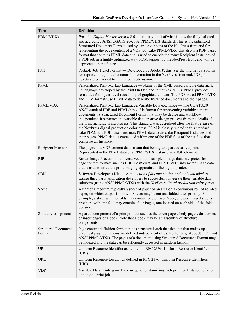| <b>Term</b>                          | <b>Definition</b>                                                                                                                                                                                                                                                                                                                                                                                                                                                                                                                                                                                                                                                                                                           |
|--------------------------------------|-----------------------------------------------------------------------------------------------------------------------------------------------------------------------------------------------------------------------------------------------------------------------------------------------------------------------------------------------------------------------------------------------------------------------------------------------------------------------------------------------------------------------------------------------------------------------------------------------------------------------------------------------------------------------------------------------------------------------------|
| PDM (VDX)                            | Portable Digital Master version 2.01 – an early draft of what is now the fully balloted<br>and accredited ANSI CGATS.20-2002 PPML/VDX standard. This is the optimized<br>Structured Document Format used by earlier versions of the NexPress front end for<br>representing the page content of a VDP job. Like PPML/VDX, this also is a PDF-based<br>format that contains PPML data and is used to encode the many Recipient Instances of<br>a VDP job in a highly optimized way. PDM support by the NexPress front end will be<br>deprecated in the future.                                                                                                                                                                |
| <b>PJTF</b>                          | Portable Job Ticket Format — Developed by Adobe®, this is is the internal data format<br>for representing job ticket control information in the NexPress front end. JDF job<br>tickets are converted to PJTF upon submission.                                                                                                                                                                                                                                                                                                                                                                                                                                                                                               |
| <b>PPML</b>                          | Personalized Print Markup Language - Name of the XML-based variable data mark-<br>up language developed by the Print On Demand initiative (PODi). PPML provides<br>semantics for object-level reusability of graphical content. The PDF-based PPML/VDX<br>and PDM formats use PPML data to describe Instance documents and their pages.                                                                                                                                                                                                                                                                                                                                                                                     |
| PPML/VDX                             | Personalized Print Markup Language/Variable Data eXchange — The CGATS.20<br>ANSI standard PDF and PPML-based file format for representing variable content<br>documents. A Structured Document Format that may be device and workflow-<br>independent. It separates the variable data creative design process from the details of<br>the print manufacturing process. This standard was accredited after the first release of<br>the NexPress digital production color press. PDM is closely related to this standard.<br>Like PDM, it is PDF-based and uses PPML data to describe Recipient Instances and<br>their pages. PPML data is embedded within one of the PDF files of the set files that<br>comprise an Instance. |
| Recipient Instance                   | The pages of a VDP content data stream that belong to a particular recipient.<br>Represented in the PPML data of a PPML/VDX instance as a JOB element.                                                                                                                                                                                                                                                                                                                                                                                                                                                                                                                                                                      |
| <b>RIP</b>                           | Raster Image Processor – converts vector and sampled image data interpreted from<br>page content formats such as PDF, PostScript, and PPML/VDX into raster image data<br>that is used to drive the print imaging apparatus of the digital printer.                                                                                                                                                                                                                                                                                                                                                                                                                                                                          |
| <b>SDK</b>                           | Software Developer's Kit $-$ A collection of documentation and tools intended to<br>enable third party application developers to successfully integrate their variable data<br>solutions (using ANSI PPML/VDX) with the NexPress digital production color press.                                                                                                                                                                                                                                                                                                                                                                                                                                                            |
| Sheet                                | A unit of a medium, typically a sheet of paper or an area on a continuous roll of roll-fed<br>paper, on which output is printed. Sheets may be cut and folded after printing. For<br>example, a sheet with no folds may contain one or two Pages, one per imaged side; a<br>brochure with one fold may contains four Pages, one located on each side of the fold<br>per side.                                                                                                                                                                                                                                                                                                                                               |
| Structure component                  | A partial component of a print product such as the cover pages, body pages, dust cover,<br>or insert pages of a book. Note that a book may be an assembly of structure<br>components.                                                                                                                                                                                                                                                                                                                                                                                                                                                                                                                                       |
| <b>Structured Document</b><br>Format | Page content definition format that is structured such that the data that makes up<br>graphical page definitions are defined independent of each other (e.g. Adobe® PDF and<br>ANSI PPML/VDX). The pages of a document using Structured Document Format may<br>be indexed and the data can be efficiently accessed in random fashion.                                                                                                                                                                                                                                                                                                                                                                                       |
| <b>URI</b>                           | Uniform Resource Identifier as defined in RFC 2396: Uniform Resource Identifiers<br>(URI)                                                                                                                                                                                                                                                                                                                                                                                                                                                                                                                                                                                                                                   |
| URL                                  | Uniform Resource Locator as defined in RFC 2396: Uniform Resource Identifiers<br>(URI)                                                                                                                                                                                                                                                                                                                                                                                                                                                                                                                                                                                                                                      |
| <b>VDP</b>                           | Variable Data Printing — The concept of customizing each print (or Instance) of a run<br>of a digital print job.                                                                                                                                                                                                                                                                                                                                                                                                                                                                                                                                                                                                            |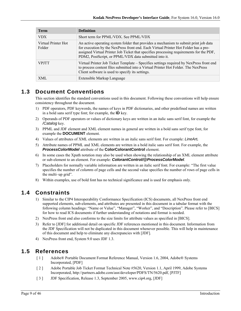| <b>Term</b>                   | <b>Definition</b>                                                                                                                                                                                                                                                                                                               |
|-------------------------------|---------------------------------------------------------------------------------------------------------------------------------------------------------------------------------------------------------------------------------------------------------------------------------------------------------------------------------|
| <b>VDX</b>                    | Short term for PPML/VDX. See PPML/VDX                                                                                                                                                                                                                                                                                           |
| Virtual Printer Hot<br>Folder | An active operating system folder that provides a mechanism to submit print job data<br>for execution by the NexPress front end. Each Virtual Printer Hot Folder has a pre-<br>assigned Virtual Printer Job Ticket that specifies processing requirements for the PDF,<br>PDM2, PostScript, or PPML/VDX data submitted into it. |
| <b>VPITT</b>                  | Virtual Printer Job Ticket Template – Specifies settings required by NexPress front end<br>to process content files submitted into a Virtual Printer Hot Folder. The NexPress<br>Client software is used to specify its settings.                                                                                               |
| XML                           | Extensible Markup Language                                                                                                                                                                                                                                                                                                      |

## **1.3 Document Conventions**

This section identifies the standard conventions used in this document. Following these conventions will help ensure consistency throughout the document.

- 1) PDF operators, PDF keywords, the names of keys in PDF dictionaries, and other predefined names are written in a bold sans serif type font; for example, the **ID** key.
- 2) Operands of PDF operators or values of dictionary keys are written in an italic sans serif font, for example the */Catalog* key.
- 3) PPML and JDF element and XML element names in general are written in a bold sans serif type font, for example the **DOCUMENT** element.
- 4) Values of attributes of XML elements are written in an italic sans serif font. For example: *LineArt.*
- 5) Attribute names of PPML and XML elements are written in a bold italic sans serif font. For example, the *ProcessColorModel* attribute of the **ColorColorantControl** element.
- 6) In some cases the Xpath notation may also be used when showing the relationship of an XML element attribute or sub-element to an element. For example: *ColorantControl/@ProcessColorModel*.
- 7) Placeholders for normally variable information are written in an italic serif font. For example: "The first value specifies the number of *columns* of page cells and the second value specifies the number of *rows* of page cells in the multi–up grid".
- 8) Within examples, use of bold font has no technical significance and is used for emphasis only.

## **1.4 Constraints**

- 1) Similar to the CIP4 Interoperability Conformance Specification (ICS) documents, all NexPress front end supported elements, sub-elements, and attributes are presented in this document in a tabular format with the following column headings: "Name or Value", "Manager", "Worker", and "Description". Please refer to [BICS] for how to read ICS documents if further understanding of notations and format is needed.
- 2) NexPress front end also conforms to the size limits for attribute values as specified in [BICS].
- 3) Refer to [JDF] for additional detail on specific JDF references mentioned in this document. Information from the JDF Specification will not be duplicated in this document whenever possible. This will help in maintenance of this document and help to eliminate any discrepancies with [JDF].
- 4) NexPress front end, System 9.0 uses JDF 1.3.

## **1.5 References**

- [ 1 ] Adobe® Portable Document Format Reference Manual, Version 1.6, 2004, Adobe® Systems Incorporated, [PDF]
- [ 2 ] Adobe Portable Job Ticket Format Technical Note #5620, Version 1.1, April 1999, Adobe Systems Incorporated, http://partners.adobe.com/asn/developer/PDFS/TN/5620.pdf, [PJTF]
- [ 3 ] JDF Specification, Release 1.3, September 2005, www.cip4.org, [JDF]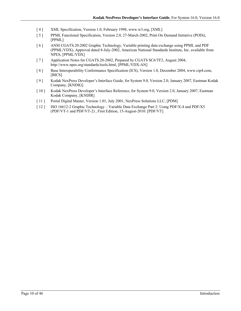- [4] XML Specification, Version 1.0, February 1998, www.w3.org, [XML]
- [ 5 ] PPML Functional Specification, Version 2.0, 27-March-2002, Print On Demand Initiative (PODi), [PPML]
- [ 6 ] ANSI CGATS.20:2002 Graphic Technology, Variable printing data exchange using PPML and PDF (PPML/VDX), Approval dated 8-July-2002, American National Standards Institute, Inc. available from NPES, [PPML/VDX]
- [ 7 ] Application Notes for CGATS.20-2002, Prepared by CGATS SC6/TF2, August 2004, http://www.npes.org/standards/tools.html, [PPML/VDX-AN]
- [8] Base Interoperability Conformance Specification (ICS), Version 1.0, December 2004, www.cip4.com, [BICS]
- [ 9 ] Kodak NexPress Developer's Interface Guide, for System 9.0, Version 2.0, January 2007, Eastman Kodak Company, [KNDIG]
- [ 10 ] Kodak NexPress Developer's Interface Reference, for System 9.0, Version 2.0, January 2007, Eastman Kodak Company, [KNDIR]
- [ 11 ] Portal Digital Master, Version 1.01, July 2001, NexPress Solutions LLC, [PDM]
- [ 12 ] ISO 16612-2 Graphic Technology Variable Data Exchange Part 2: Using PDF/X-4 and PDF/X5 (PDF/VT-1 and PDF/VT-2) , First Edition, 15-August-2010. [PDF/VT]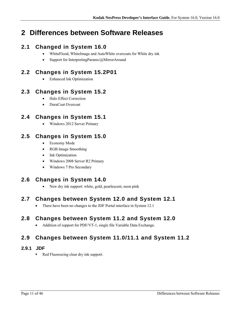# **2 Differences between Software Releases**

## **2.1 Changed in System 16.0**

- WhiteFlood, WhiteImage and AutoWhite overcoats for White dry ink
- Support for InterpretingParams/ $@$ MirrorAround

## **2.2 Changes in System 15.2P01**

Enhanced Ink Optimization

## **2.3 Changes in System 15.2**

- Halo Effect Correction
- DuraCoat Overcoat

## **2.4 Changes in System 15.1**

Windows 2012 Server Primary

## **2.5 Changes in System 15.0**

- Economy Mode
- RGB Image Smoothing
- Ink Optimization
- Windows 2008 Server R2 Primary
- Windows 7 Pro Secondary

## **2.6 Changes in System 14.0**

New dry ink support: white, gold, pearlescent, neon pink

## **2.7 Changes between System 12.0 and System 12.1**

• There have been no changes to the JDF Portal interface in System 12.1

## **2.8 Changes between System 11.2 and System 12.0**

Addition of support for PDF/VT-1, single file Variable Data Exchange.

## **2.9 Changes between System 11.0/11.1 and System 11.2**

## **2.9.1 JDF**

Red Fluorescing clear dry ink support.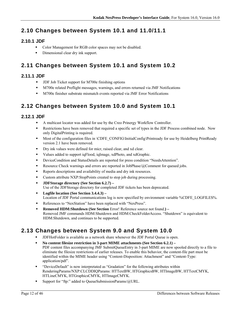## **2.10 Changes between System 10.1 and 11.0/11.1**

## **2.10.1 JDF**

- Color Management for RGB color spaces may not be disabled.
- Dimensional clear dry ink support.

## **2.11 Changes between System 10.1 and System 10.2**

## **2.11.1 JDF**

- **JDF Job Ticket support for M700e finishing options**
- M700e related Preflight messages, warnings, and errors returned via JMF Notifications
- M700e finisher substrate mismatch events reported via JMF Error Notifications

## **2.12 Changes between System 10.0 and System 10.1**

### **2.12.1 JDF**

- A multicast locator was added for use by the Creo Prinergy Workflow Controller.
- Restrictions have been removed that required a specific set of types in the JDF Process combined node. Now only DigitalPrinting is required.
- Most of the configuration files in \CDFE\_CONFIG\InitialConfig\Printready for use by Heidelberg PrintReady version 2.1 have been removed.
- **Dry ink values were defined for micr, raised clear, and xd clear.**
- Values added to support iqFlood, iqImage, xdPhoto, and xdGraphic.
- DeviceCondition and StatusDetails are reported for press condition "NeedsAttention".
- Resource Check warnings and errors are reported in JobPhase/ $@$ Comment for queued jobs.
- Reports descriptions and availability of media and dry ink resources.
- Custom attribute NXP:StopPoints created to stop job during processing.
- **JDFStorage directory (See Section 6.2.7)**  Use of the JDFStorage directory for completed JDF tickets has been deprecated.
- **Logfile location (See Section 3.4.4.3)**  Location of JDF Portal communications log is now specified by environment variable %CDFE\_LOGFILES%.
- References to "NexStation" have been replaced with "NexPress".
- **Removed HDM:Shutdown (See Section Error! Reference source not found.)** Removed JMF commands HDM:Shutdown and HDM:CheckFolderAccess. "Shutdown" is equivalent to HDM:Shutdown, and continues to be supported.

## **2.13 Changes between System 9.0 and System 10.0**

- JDFHotFolder is available as a network share whenever the JDF Portal Queue is open.
- **No content filesize restriction in 3-part MIME attachments (See Section 6.2.1)**  PDF content files accompanying JMF SubmitQueueEntry in 3-part MIME are now spooled directly to a file to eliminate the filesize restrictions of earlier releases. To enable this behavior, the content-file part must be identified within the MIME header using "Content-Disposition: Attachment" and "Content-Type: application/pdf".
- "DeviceDefault" is now interpretated as "Gradation" for the following attributes within RenderingParams/NXP:CLCDDIQParams: HTTextBW, HTGraphicsBW, HTImageBW, HTTextCMYK, HTLineCMYK, HTGraphicsCMYK, HTImageCMYK.
- Support for "ftp:" added to QueueSubmissionParams/@URL.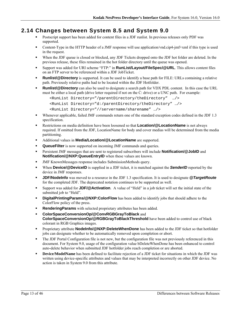## **2.14 Changes between System 8.5 and System 9.0**

- Postscript support has been added for content files in a JDF runlist. In previous releases only PDF was supported.
- Content-Type in the HTTP header of a JMF response will use application/vnd.cip4-jmf+xml if this type is used in the request.
- When the JDF queue is closed or blocked, any JDF Tickets dropped onto the JDF hot folder are deleted. In the previous release, these files remained in the hot folder directory until the queue was opened.
- Support was added for URI scheme "FTP:" in **RunList/Layout/FileSpec/@URL**. This allows content files on an FTP server to be referenced within a JDF JobTicket.
- **Runlist/@Directory** is supported. It can be used to identify a base path for FILE: URLs containing a relative path. Previously relative paths had to be located within the JDF Hotfolder.
- **Runlist/@Directory** can also be used to designate a search path for VDX PDL content. In this case the URL must be either a local path (drive letter required if not on the C: drive) or a UNC path. For example:

```
<RunList Directory="/parentDirectory/theDirectory" …/> 
<RunList Directory="d:/parentDirectory/theDirectory" …/> 
<RunList Directory="//servername/sharename" …/>
```
- Whenever applicable, failed JMF commands return one of the standard exception codes defined in the JDF 1.3 specification.
- Restrictions on media definition have been loosened so that **Location/@LocationName** is not always required. If omitted from the JDF, LocationName for body and cover medias will be determined from the media partitioning.
- Additional values in **Media/Location/@LocationName** are supported.
- **QueueFilter** is now supported on incoming JMF commands and queries.
- Persistent JMF messages that are sent to registered subscribers will include **Notification/@JobID** and **Notification/@NXP:QueueEntryID** when these values are known.
- JMF KnownMessages response includes SubmissionMethods query.
- **When Device/@DeviceID** is supplied in a JDF ticket, it is matched against the **SenderID** reported by the device in JMF responses.
- **JDF/NodeInfo** was moved to a resource in the JDF 1.3 specification. It is used to designate *@TargetRoute* for the completed JDF. The deprecated notation continues to be supported as well.
- Support was added for **JDF/@Activation**. A value of "Held" in a job ticket will set the initial state of the submitted job to "Held".
- **DigitalPrintingParams/@NXP:ColorFlow** has been added to identify jobs that should adhere to the ColorFlow policy of the press.
- **Rendering Params** with selected proprietary attributes has been added.
- **ColorSpaceConversionOp/@ConvRGBGrayToBlack** and **ColorSpaceConversionOp/@RGBGrayToBlackThreshold** have been added to control use of black colorant in RGB Graphics images.
- **Proprietary attribute NodeInfo/@NXP:DeleteWhenDone** has been added to the JDF ticket so that hotfolder jobs can designate whether to be automatically removed upon completion or abort.
- The JDF Portal Configuration file is not new, but the configuration file was not previously referenced in this document. For System 9.0, usage of the configuration value bDeleteWhenDone has been enhanced to control auto-delete behavior when submitted JDF hotfolder jobs reach completion or are aborted.
- **Device/ModelName** has been defined to facilitate rejection of a JDF ticket for situations in which the JDF was written using device-specific attributes and values that may be interpreted incorrectly on other JDF device. No action is taken in System 9.0 from this attribute.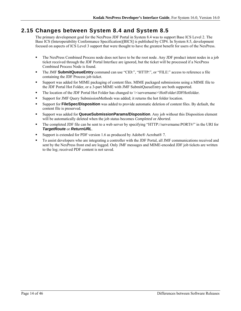## **2.15 Changes between System 8.4 and System 8.5**

The primary development goal for the NexPress JDF Portal in System 8.4 was to support Base ICS Level 2. The Base ICS (Interoperability Conformance Specification)[BICS] is published by CIP4. In System 8.5, development focused on aspects of ICS Level 3 support that were thought to have the greatest benefit for users of the NexPress.

- The NexPress Combined Process node does not have to be the root node. Any JDF product intent nodes in a job ticket received through the JDF Portal Interface are ignored, but the ticket will be processed if a NexPress Combined Process Node is found.
- The JMF **SubmitQueueEntry** command can use "CID:", "HTTP:", or "FILE:" access to reference a file containing the JDF Process job ticket.
- Support was added for MIME packaging of content files. MIME packaged submissions using a MIME file to the JDF Portal Hot Folder, or a 3-part MIME with JMF SubmitQueueEntry are both supported.
- The location of the JDF Portal Hot Folder has changed to  $\&$ servername>\HotFolder\JDFHotfolder.
- Support for JMF Query SubmissionMethods was added; it returns the hot folder location.
- Support for **FileSpec/Disposition** was added to provide automatic deletion of content files. By default, the content file is preserved.
- Support was added for **QueueSubmissionParams/Disposition**. Any job without this Disposition element will be automatically deleted when the job status becomes *Completed* or *Aborted.*
- The completed JDF file can be sent to a web server by specifying "HTTP://servername:PORT#/" in the URI for *TargetRoute* or *ReturnURL*.
- Support is extended for PDF version 1.6 as produced by Adobe® Acrobat® 7.
- To assist developers who are integrating a controller with the JDF Portal, all JMF communications received and sent by the NexPress front end are logged. Only JMF messages and MIME-encoded JDF job tickets are written to the log; received PDF content is not saved.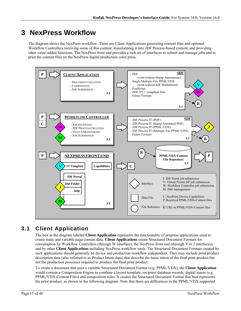# **3 NexPress Workflow**

The diagram shows the NexPress workflow. There are Client Applications generating content files and optional Workflow Controllers receiving some of this content, transforming it into JDF Process-based content, and providing other value-added functions. The NexPress front end provides a rich set of interfaces to submit and manage jobs and to print the content files on the NexPress digital production color press.



## **3.1 Client Application**

The box in the diagram labeled **Client Application** represents the functionality of prepress applications used to create static and variable page content data. **Client Applications** create Structured Document Formats for consumption by Workflow Controllers (through W interface), the NexPress front end (through V or J interfaces), and by other **Client Applications** including NexPress workflow tools. The Structured Document Formats created by such applications should generally be device and production-workflow independent. They may include print product description data (also referred to as Product Intent data) that describe the basic intent of the final print product but not the production processes required to produce the final print product.

To create a document that uses a variable Structured Document Format (e.g. PPML/VDX), the **Client Application** would contain a Composition Engine to combine a layout template, recipient database records, digital assets (e.g. PPML/VDX-Content Files) and composition rules. It creates the Structured Document Format that best represents the print product, as shown in the following diagram. Note that there are differences in the PPML/VDX supported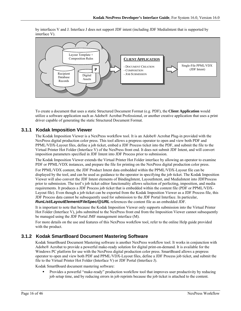by interfaces V and J. Interface J does not support JDF intent (including JDF MediaIntent that is supported by interface V).



To create a document that uses a static Structured Document Format (e.g. PDF), the **Client Application** would utilize a software application such as Adobe® Acrobat Professional, or another creative application that uses a print driver capable of generating the static Structured Document Format.

### **3.1.1 Kodak Imposition Viewer**

The Kodak Imposition Viewer is a NexPress workflow tool. It is an Adobe® Acrobat Plug-in provided with the NexPress digital production color press. This tool allows a prepress operator to open and view both PDF and PPML/VDX-Layout files, define a job ticket, embed a JDF Process ticket into the PDF, and submit the file to the Virtual Printer Hot Folder (Interface V) of the NexPress front end. It does not submit JDF Intent, and will convert imposition parameters specified in JDF Intent into JDF Process prior to submission.

The Kodak Imposition Viewer extends the Virtual Printer Hot Folder interface by allowing an operator to examine PDF or PPML/VDX instances, and prepare the file for printing on the NexPress digital production color press.

For PPML/VDX content, the JDF Product Intent data embedded within the PPML/VDX-Layout file can be displayed by the tool, and can be used as guidance to the operator in specifying the job ticket. The Kodak Imposition Viewer will also convert the JDF Intent elements of BindingIntent, LayoutIntent, and MediaIntent into JDFProcess prior to submission. The tool's job ticket editor functionality allows selection of perfecting, imposition, and media requirements. It produces a JDF Process job ticket that is embedded within the content file (PDF or PPML/VDX-Layout file). Even though a job ticket can be exported from the Kodak Imposition Viewer as a JDF Process file, this JDF Process data cannot be subsequently used for submission to the JDF Portal Interface. In particular, *RunList/LayoutElement/FileSpec/@URL* references the content file as an embedded JDF.

It is important to note that because the Kodak Imposition Viewer only supports submission into the Virtual Printer Hot Folder (Interface V), jobs submitted to the NexPress front end from the Imposition Viewer cannot subsequently be managed using the JDF Portal JMF management interface (M).

For more details on the use and features of this NexPress workflow tool, refer to the online Help guide provided with the product.

### **3.1.2 Kodak SmartBoard Document Mastering Software**

Kodak SmartBoard Document Mastering software is another NexPress workflow tool. It works in conjunction with Adobe® Acrobat to provide a powerful make-ready solution for digital print-on-demand. It is available for the Windows PC platform for use with the NexPress digital production color press. SmartBoard allows a prepress operator to open and view both PDF and PPML/VDX-Layout files, define a JDF Process job ticket, and submit the file to the Virtual Printer Hot Folder (Interface V) or JDF Portal (Interface J).

Kodak SmartBoard document mastering software:

 Provides a powerful "make-ready" production workflow tool that improves user productivity by reducing job setup time, and by reducing errors in job reprints because the job ticket is attached to the content.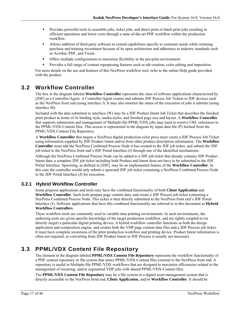- **Provides powerful tools to assemble jobs, ticket jobs, and direct print or batch print jobs resulting in** efficient operations and lower costs through a state-of-the-art PDF workflow within the production workflow.
- Allows addition of third party software to extend capabilities specific to customer needs while retaining purchase and training investment because of its open architecture and adherence to industry standards such as Acrobat, PDF, and Twain.
- Offers multiple configurations to maximize flexibility in the pre-print environment.
- Provides a full range of content repurposing features such as tab creation, color editing and imposition.

For more details on the use and features of this NexPress workflow tool, refer to the online Help guide provided with the product.

## **3.2 Workflow Controller**

The box in the diagram labeled **Workflow Controller** represents the class of software applications characterized by [JDF] as a Controller/Agent. A Controller/Agent creates and submits JDF Process Job Tickets to JDF devices such as the NexPress front end (using interface J). It may also monitor the status of the execution of jobs it submits (using interface M).

Included with the data submitted to interface (W) may be a JDF Product Intent Job Ticket that describes the finished print product in terms of its binding style, media styles, and finished page size and layout. A **Workflow Controller** that supports submission and management of Multiple-file PPML/VDX jobs may need to resolve URL references to the PPML/VDX-Content files. This access is represented in the diagram by input data file (P) fetched from the PPML/VDX Content File Repository.

A **Workflow Controller** that targets a NexPress digital production color press must create a JDF Process Job Ticket using information supplied by JDF Product Intent and/or from other product description information. The **Workflow Controller** must add the NexPress Combined Process Node it has created to the JDF job ticket, and submit the JDF job ticket to the NexPress front end's JDF Portal Interface (J) through one of the identified mechanisms.

Although the NexPress Combined Process Node can be added to a JDF job ticket that already contains JDF Product Intent data, a complete JDF job ticket including both Product and Intent does not have to be submitted to the JDF Portal Interface. Spawning, as defined in [JDF], may be an implemented feature of the **Workflow Controller**. In this case the controller would only submit a spawned JDF job ticket containing a NexPress Combined Process Node to the JDF Portal Interface (J) for execution.

### **3.2.1 Hybrid Workflow Controller**

Some prepress applications and tools may have the combined functionality of both **Client Application** and **Workflow Controller**. Such tools prepare page content data, and create a JDF Process job ticket containing a NexPress Combined Process Node. This ticket is then directly submitted to the NexPress front end's JDF Portal Interface (J). Software applications that have this combined functionality are referred to in this document as **Hybrid Workflow Controllers**.

These workflow tools are commonly used in variable data printing environments. In such environments, the authoring tools are given specific knowledge of the target production workflow, and are tightly coupled to (or directly target) a particular digital printing device. A hybrid workflow controller functions as both the design application and composition engine, and creates both the VDP page content data files and a JDF Process job ticket. It must have complete awareness of the print production workflow and printing device. Product Intent information is often not required, so converting from JDF Product Intent to JDF Process is usually not necessary.

## **3.3 PPML/VDX Content File Repository**

The element in the diagram labeled **PPML/VDX Content File Repository** represents the workflow functionality of a PDF content repository or file system that stores PPML/VDX-Content files external to the NexPress front end. A repository is useful in Multiple-file PPML/VDX workflows that are designed to maximize efficiencies related to the management of recurring, and/or segmented VDP jobs with shared PPML/VDX-Content files.

The **PPML/VDX Content File Repository** may be a file system or a digital asset management system that is directly accessible to the NexPress front end, **Client Application**, and/or **Workflow Controller**. It should be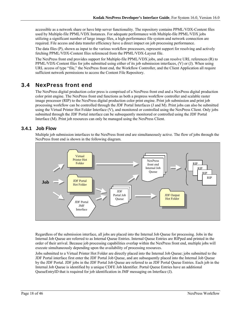accessible as a network share or have http server functionality. The repository contains PPML/VDX-Content files used by Multiple-file PPML/VDX Instances. For adequate performance with Multiple-file PPML/VDX jobs utilizing a significant number of large image files, a high-performance file system and network connection are required. File access and data transfer efficiency have a direct impact on job processing performance.

The data files (P), shown as input to the various workflow processors, represent support for resolving and actively fetching PPML/VDX-Content files referenced from the PPML/VDX-Layout file.

The NexPress front end provides support for Multiple-file PPML/VDX jobs, and can resolve URL references (R) to PPML/VDX-Content files for jobs submitted using either of its job submission interfaces, (V) or (J). When using URL access of type "file," the NexPress front end, the Workflow Controller, and the Client Application all require sufficient network permissions to access the Content File Repository.

## **3.4 NexPress front end**

The NexPress digital production color press is comprised of a NexPress front end and a NexPress digital production color print engine. The NexPress front end functions as both a prepress workflow controller and scalable raster image processor (RIP) to the NexPress digital production color print engine. Print job submission and print job processing workflow can be controlled through the JDF Portal Interfaces (J and M). Print jobs can also be submitted using the Virtual Printer Hot Folder Interface (V), and monitored or controlled using the NexPress Client. Only jobs submitted through the JDF Portal interface can be subsequently monitored or controlled using the JDF Portal Interface (M). Print job resources can only be managed using the NexPress Client.

### **3.4.1 Job Flow**

Multiple job submission interfaces to the NexPress front end are simultaneously active. The flow of jobs through the NexPress front end is shown in the following diagram.



Regardless of the submission interface, all jobs are placed into the Internal Job Queue for processing. Jobs in the Internal Job Queue are referred to as Internal Queue Entries. Internal Queue Entries are RIPped and printed in the order of their arrival. Because job processing capabilities overlap within the NexPress front end, multiple jobs will execute simultaneously depending upon the availability of processing resources.

Jobs submitted to a Virtual Printer Hot Folder are directly placed into the Internal Job Queue; jobs submitted to the JDF Portal interface first enter the JDF Portal Job Queue, and are subsequently placed into the Internal Job Queue by the JDF Portal. JDF jobs in the JDF Portal Job Queue are referred to as JDF Portal Queue Entries. Each job in the Internal Job Queue is identified by a unique CDFE Job Identifier. Portal Queue Entries have an additional QueueEntryID that is required for job identification in JMF messaging on Interface (J).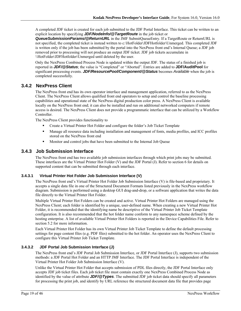A completed JDF ticket is created for each job submitted to the JDF Portal Interface. This ticket can be written to an explicit location by specifying *JDF/NodeInfo/@TargetRoute* in the job ticket or

*QueueSubmissionParams/@ReturnURL* in the JMF SubmitQueueEntry. If a TargetRoute or ReturnURL is not specified, the completed ticket is instead written to c:\HotFolder\JDFHotfolder\Unmerged. This completed JDF is written only if the job has been submitted by the portal into the NexPress front end's Internal Queue; a JDF job removed prior to processing will not produce an output JDF ticket. JDF job tickets accumulate in \\HotFolder\JDFHotfolder\Unmerged until deleted by the user.

Only the NexPress Combined Process Node is updated within the output JDF. The status of a finished job is reported in *JDF/@Status*; the value is "Completed" or "Aborted". Entries are added to **JDF/AuditPool** for significant processing events. *JDF/ResourcePool/Component/@Status* becomes *Available* when the job is completed successfully.

### **3.4.2 NexPress Client**

The NexPress front end has its own operator interface and management application, referred to as the NexPress Client. The NexPress Client allows qualified front end operators to setup and control the baseline processing capabilities and operational state of the NexPress digital production color press. A NexPress Client is available locally on the NexPress front end; it can also be installed and run on additional networked computers if remote access is desired. The NexPress Client does not provide a programmatic interface that can be utilized by a Workflow Controller.

The NexPress Client provides functionality to

- Create a Virtual Printer Hot Folder and configure the folder's Job Ticket Template
- Manage all resource data including installation and management of fonts, media profiles, and ICC profiles stored on the NexPress front end
- Monitor and control jobs that have been submitted to the Internal Job Queue

### **3.4.3 Job Submission Interface**

The NexPress front end has two available job submission interfaces through which print jobs may be submitted. These interfaces are the Virtual Printer Hot Folder (V) and the JDF Portal (J). Refer to section 6 for details on supported content that can be submitted through each interface.

#### **3.4.3.1 Virtual Printer Hot Folder Job Submission Interface (V)**

The NexPress front end's Virtual Printer Hot Folder Job Submission Interface (V) is file-based and proprietary. It accepts a single data file in one of the Structured Document Formats listed previously in the NexPress workflow diagram. Submission is performed using a desktop GUI drag-and-drop, or a software application that writes the data file directly to the Virtual Printer Hot Folder.

Multiple Virtual Printer Hot Folders can be created and active. Virtual Printer Hot Folders are managed using the NexPress Client; each folder is identified by a unique, user-defined name. When creating a new Virtual Printer Hot Folder, it is recommended that the identifying name be descriptive of the Virtual Printer Job Ticket Template configuration. It is also recommended that the hot folder name conform to any namespace scheme defined by the hosting enterprise. A list of available Virtual Printer Hot Folders is reported in the Device Capabilities File. Refer to section 5.2 for more information.

Each Virtual Printer Hot Folder has its own Virtual Printer Job Ticket Template to define the default processing settings for page content files (e.g. PDF files) submitted to the hot folder. An operator uses the NexPress Client to configure this Virtual Printer Job Ticket Template.

#### **3.4.3.2 JDF Portal Job Submission Interface (J)**

The NexPress front end's JDF Portal Job Submission Interface, or JDF Portal Interface (J), supports two submission methods: a JDF Portal Hot Folder and an HTTP JMF Interface. The JDF Portal Interface is independent of the Virtual Printer Hot Folder Job Submission Interface (V).

Unlike the Virtual Printer Hot Folder that accepts submission of PDL files directly, the JDF Portal Interface only accepts JDF job ticket files. Each job ticket file must contain exactly one NexPress Combined Process Node as identified by the value of attribute *JDF/@Types*. The submitted JDF job ticket data should specify all parameters for processing the print job, and identify by URL reference the structured document data file that provides page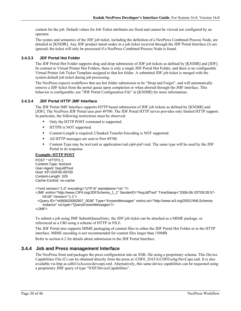content for the job. Default values for Job Ticket attributes are fixed and cannot be viewed nor configured by an operator.

The syntax and semantics of the JDF job ticket, including the definition of a NexPress Combined Process Node, are detailed in [KNDIR]. Any JDF product intent nodes in a job ticket received through the JDF Portal Interface (J) are ignored; the ticket will only be processed if a NexPress Combined Process Node is found.

#### **3.4.3.3 JDF Portal Hot Folder**

The JDF Portal Hot Folder supports drag and drop submission of JDF job tickets as defined by [KNDIR] and [JDF]. In contrast to Virtual Printer Hot Folders, there is only a single JDF Portal Hot Folder, and there is no configurable Virtual Printer Job Ticket Template assigned to that hot folder. A submitted JDF job ticket is merged with the system default job ticket during job processing.

The NexPress expects workflows that use hot folder submission to be "Drop and Forget", and will automatically remove a JDF ticket from the portal queue upon completion or when aborted through the JMF interface. This behavior is configurable; see "JDF Portal Configuration File" in [KNDIR] for more information.

#### **3.4.3.4 JDF Portal HTTP JMF Interface**

The JDF Portal JMF Interface supports HTTP based submission of JDF job tickets as defined by [KNDIR] and [JDF]. The NexPress JDF Portal uses port 49700. The JDF Portal HTTP server provides only limited HTTP support. In particular, the following restrictions must be observed:

- Only the HTTP POST command is supported.
- **IFFLUE** is NOT supported.
- Content-Length is required; Chunked Transfer-Encoding is NOT supported.
- All HTTP messages are sent to Port 49700.
- Content-Type may be text/xml or application/vnd.cip4-jmf+xml. The same type will be used by the JDF Portal in its response.

#### **Example: HTTP POST**

POST \* HTTP/1.1 Content-Type: text/xml User-Agent: NxpJdfTest Host: KP-GDF00:49700 Content-Length: 329 Cache-Control: no-cache

```
<?xml version="1.0" encoding="UTF-8" standalone="no" ?>
```

```
<JMF xmlns="http://www.CIP4.org/JDFSchema_1_1" SenderID="NxpJdfTest" TimeStamp="2006-06-20T09:28:57-
    04:00" Version="1.1">
```
 <Query ID="m060620092857\_0036" Type="KnownMessages" xmlns:xsi="http://www.w3.org/2001/XMLSchemainstance" xsi:type="QueryKnownMessages"/>

 $<$ /JMF $>$ 

To submit a job using JMF SubmitQueueEntry, the JDF job ticket can be attached as a MIME package, or referenced as a URI using a scheme of HTTP or FILE.

The JDF Portal also supports MIME packaging of content files to either the JDF Portal Hot Folder or to the HTTP interface. MIME encoding is not recommended for content files larger than 150MB.

Refer to section 6.2 for details about submission to the JDF Portal Interface.

#### **3.4.4 Job and Press management Interface**

The NexPress front end packages the press configuration into an XML file using a proprietary schema. This Device Capabilities File (C) can be obtained directly from the press at \CDFE\_DATA\CDFExchg\DevCaps.xml. It is also available via http as cdfeUisAccess/devcaps.xml. Alternatively, this same device capabilities can be requested using a proprietary JMF query of type "NXP:DeviceCapabilities".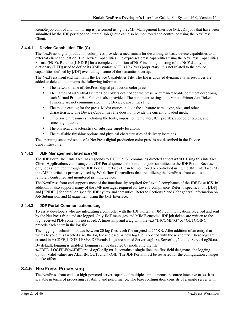Remote job control and monitoring is performed using the JMF Management Interface (M). JDF jobs that have been submitted by the JDF portal to the Internal Job Queue can also be monitored and controlled using the NexPress Client.

#### **3.4.4.1 Device Capabilities File (C)**

The NexPress digital production color press provides a mechanism for describing its basic device capabilities to an external client application. The Device Capabilities File expresses press capabilities using the NexPress Capabilities Format (NCF). Refer to [KNDIR] for a complete definition of NCF including a listing of the NCF data type dictionary (DTD) used to define its XML syntax. NCF is NexPress proprietary; it is not related to the device capabilities defined by [JDF] even though some of the semantics overlap.

The NexPress front end maintains the Device Capabilities File. The file is updated dynamically as resources are added or deleted; it contains the following information:

- The network name of NexPress digital production color press.
- The names of all Virtual Printer Hot Folders defined for the press. A human-readable comment describing each Virtual Printer Hot Folder is also provided. The parameter settings of a Virtual Printer Job Ticket Template are not communicated in the Device Capabilities File.
- The media catalog for the press. Media entries include the substrate name, type, size, and other characteristics. The Device Capabilities file does not provide the currently loaded media.
- Other system resources including the fonts, imposition templates, ICC profiles, spot color tables, and screening options.
- The physical characteristics of substrate supply locations.
- The available finishing options and physical characteristics of delivery locations.

The operating state and status of a NexPress digital production color press is not described in the Device Capabilities File.

#### **3.4.4.2 JMF Management Interface (M)**

The JDF Portal JMF Interface (M) responds to HTTP POST commands directed at port 49700. Using this interface, **Client Applications** can manage the JDF Portal queue and monitor all jobs submitted to the JDF Portal. Because only jobs submitted through the JDF Portal Interface (J) can be monitored or controlled using the JMF Interface (M), the JMF Interface is primarily used by **Workflow Controllers** that are utilizing the NexPress front end as a remotely controlled and monitored printing device.

The NextPress front end supports most of the functionality required for Level 2 compliance of the JDF Base ICS. In addition, it also supports many of the JMF messages required for Level 3 compliance. Refer to specifications [JDF] and [KNDIR ] for detail on specific JDF syntax and semantics. Refer to Sections 5 and 6 for general information on Job Submission and Management using the JMF Interface.

#### **3.4.4.3 JDF Portal Communications Log**

To assist developers who are integrating a controller with the JDF Portal, all JMF communications received and sent by the NexPress front end are logged. Only JMF messages and MIME-encoded JDF job tickets are written to the log; received PDF content is not saved. A timestamp and a tag with the text "INCOMING" or "OUTGOING" precede each entry in the log file.

The logging mechanism rotates between 20 log files; each file targeted at 256KB. After addition of an entry that writes beyond this targeted size, the log file is closed. A new log file is opened with the next entry. These logs are created in %CDFE\_LOGFILES%\JDFPortal\. Logs are named ServerLog1.txt, ServerLog2.txt, … ServerLog20.txt.

By default, logging is enabled. Logging can be disabled by modifying the file %CDFE\_LOGFILES%\JDFPortal\LogConfig.txt. It contains a single line; the first field designates the logging option. Valid values are ALL, IN, OUT, and NONE. The JDF Portal must be restarted for the configuration changes to take effect.

### **3.4.5 NexPress Processing**

The NexPress front end is a high-powered server capable of multiple, simultaneous, resource intensive tasks. It is scalable in terms of processing capability and performance. The base configuration consists of a single server with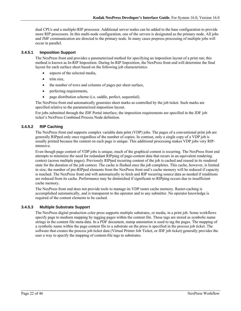dual CPUs and a multiple-RIP processor. Additional server nodes can be added to the base configuration to provide more RIP processors. In this multi-node configuration, one of the servers is designated as the primary node. All jobs and JMF communication are directed to the primary node. In many cases prepress processing of multiple jobs will occur in parallel.

#### **3.4.5.1 Imposition Support**

The NexPress front end provides a parameterized method for specifying an imposition layout of a print run; this method is known as In-RIP Imposition. During In-RIP Imposition, the NexPress front end will determine the final layout for each surface sheet based on the following job characteristics:

- aspects of the selected media,
- trim size,
- the number of rows and columns of pages per sheet surface,
- perfecting requirements,
- page distribution scheme (i.e. saddle, perfect, sequential).

The NexPress front end automatically generates sheet marks as controlled by the job ticket. Such marks are specified relative to the parameterized imposition layout.

For jobs submitted through the JDF Portal interface, the imposition requirements are specified in the JDF job ticket's NexPress Combined Process Node definition.

#### **3.4.5.2 RIP Caching**

The NexPress front end supports complex variable data print (VDP) jobs. The pages of a conventional print job are generally RIPped only once regardless of the number of copies. In contrast, only a single copy of a VDP job is usually printed because the content on each page is unique. This additional processing makes VDP jobs very RIPintensive.

Even though page content of VDP jobs is unique, much of the graphical content is recurring. The NexPress front end attempts to minimize the need for redundant RIPping of page-content data that recurs in an equivalent rendering context (across multiple pages). Previously RIPped recurring content of the job is cached and reused in its rendered state for the duration of the job context. The cache is flushed once the job completes. This cache, however, is limited in size; the number of pre-RIPped elements from the NexPress front end's cache memory will be reduced if capacity is reached. The NexPress front end will automatically re-fetch and RIP recurring source data as needed if renditions are reduced from its cache. Performance may be diminished if significant re-RIPping occurs due to insufficient cache memory.

The NexPress front end does not provide tools to manage its VDP raster cache memory. Raster-caching is accomplished automatically, and is transparent to the operator and to any submitter. No operator knowledge is required of the content elements to be cached.

#### **3.4.5.3 Multiple Substrate Support**

The NexPress digital production color press supports multiple substrates, or media, in a print job. Some workflows specify page to medium mapping by tagging pages within the content file. These tags are stored as symbolic name strings in the content file meta-data. In a PDF document, stamp annotation is used to tag the pages. The mapping of a symbolic name within the page content file to a substrate on the press is specified in the process job ticket. The software that creates the process job ticket data (Virtual Printer Job Ticket, or JDF job ticket) generally provides the user a way to specify the mapping of content-file tags to substrates.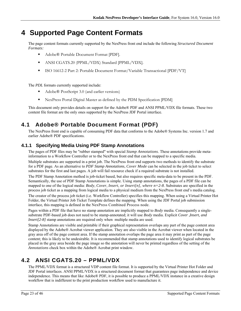# **4 Supported Page Content Formats**

The page content formats currently supported by the NexPress front end include the following *Structured Document Formats:*

- Adobe® Portable Document Format [PDF].
- ANSI CGATS.20 (PPML/VDX) Standard [PPML/VDX].
- ISO 16612-2 Part 2: Portable Document Format/Variable Transactional [PDF/VT]

The *PDL* formats currently supported include:

- Adobe® PostScript 3.0 (and earlier versions)
- NexPress Portal Digital Master as defined by the PDM Specification [PDM]

This document only provides details on support for the Adobe® PDF and ANSI PPML/VDX file formats. These two content file format are the only ones supported by the NexPress JDF Portal interface.

## **4.1 Adobe® Portable Document Format (PDF)**

The NexPress front end is capable of consuming PDF data that conforms to the Adobe® Systems Inc. version 1.7 and earlier Adobe® PDF specifications.

## **4.1.1 Specifying Media Using PDF Stamp Annotations**

The pages of PDF files may be "rubber stamped" with special *Stamp Annotations*. These annotations provide metainformation to a Workflow Controller or to the NexPress front end that can be mapped to a specific media.

Multiple substrates are supported in a print job. The NexPress front end supports two methods to identify the substrate for a PDF page. As an alternative to *PDF Stamp Annotations*, *Cover Mode* can be selected in the job ticket to select substrates for the first and last pages*.* A job will fail resource check if a required substrate is not installed.

The PDF Stamp Annotation method is job-ticket based, but also requires specific meta-data to be present in the PDF. Semantically, the use of PDF Stamp Annotations is simple. Using stamp annotations, the pages of a PDF file can be mapped to one of the logical media: *Body*, *Cover*, *Insert, or Insert[n], where n=2-8*. Substrates are specified in the process job ticket as a mapping from logical media to a physical medium from the NexPress front end's media catalog.

The creator of the process job ticket (i.e. Workflow Controller) specifies this mapping. When using a Virtual Printer Hot Folder, the Virtual Printer Job Ticket Template defines the mapping. When using the JDF Portal job submission interface, this mapping is defined in the NexPress Combined Process node.

Pages within a PDF file that have no stamp annotation are implicitly mapped to *Body* media. Consequently a singlesubstrate PDF-based job does not need to be stamp-annotated; it will use *Body* media. Explicit *Cover* ,*Insert, and Insert*[2-8] stamp annotations are required only when multiple media are used.

Stamp Annotations are visible and printable if their graphical representation overlaps any part of the page content area displayed by the Adobe® Acrobat viewer application. They are also visible in the Acrobat viewer when located in the gray area off of the page content area. If the stamp annotation overlaps the page area it may print as part of the page content; this is likely to be undesirable. It is recommended that stamp annotations used to identify logical substrates be placed in the gray area beside the page image so the annotation will never be printed regardless of the setting of the *Annotations* check box within the Adobe® Acrobat print window.

## **4.2 ANSI CGATS.20 – PPML/VDX**

The PPML/VDX format is a structured VDP content file format. It is supported by the Virtual Printer Hot Folder and JDF Portal interfaces. ANSI PPML/VDX is a structured document format that guarantees page independence and device independence. This means that like Adobe® PDF, it is possible to produce a PPML/VDX instance in a creative design workflow that is indifferent to the print production workflow used to manufacture it.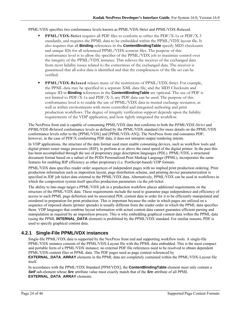#### PPML/VDX specifies two conformance levels known as PPML/VDX-Strict and PPML/VDX-Relaxed.

- **PPML/VDX-Strict** requires all PDF files to conform to either the PDF/X-1a or PDF/X-3 standards, and requires the PPML data to be embedded within the PPML/VDX layout file. It also requires that all **Binding** references in the **ContentBindingTable** specify MD5 checksums and unique IDs for all referenced PPML/VDX-content files. The purpose of this conformance level is to allow the specifier of the PPML/VDX job to maximize control over the integrity of the PPML/VDX instance. This relieves the receiver of the exchanged data from most liability issues related to the correctness of the exchanged data. The receiver is guaranteed that all color data is identified and that the completeness of the file set can be verified.
- **PPML/VDX-Relaxed** relaxes many of the restrictions of PPML/VDX-Strict. For example, the PPML data may be specified in a separate XML data file, and the MD5 Checksum and unique ID in **Binding** references in the **ContentBindingTable** are optional. The use of PDF is not limited to PDF/X-1a and PDF/X-3; any PDF data can be used. The purpose of this conformance level is to enable the use of PPML/VDX data in trusted exchange scenarios, as well as within environments with more controlled and integrated authoring and print production workflows. The degree of integrity verification support depends upon the liability requirements of the VDP application, and how tightly integrated the workflow.

The NexPress front end is capable of consuming PPML/VDX data that conforms to both the *PPML/VDX-Strict* and *PPML/VDX-Relaxed* conformance levels as defined by the PPML/VDX standard (for more details on the PPML/VDX conformance levels refer to the [PPML/VDX] and [PPML/VDX-AN]). The NexPress front end consumes PDF; however, in the case of PDF/X conforming PDF data, it does not interpret output rendering intents.

In VDP applications, the structure of the data format used must enable consuming devices, such as workflow tools and digital printer raster image processors (RIP*)*, to perform at or above the rated speed of the digital printer. In the past this has been accomplished through the use of proprietary page description languages (PDL). PPML/VDX, a structured document format based on a subset of the PODi Personalized Print Markup Language (PPML), incorporates the same features for enabling RIP efficiency as other proprietary (i.e. PostScript-based) VDP formats.

PPML/VDX data specifies reader order sequences of independent pages with no implied print production ordering. Print production information such as imposition layout, page distribution scheme, and printing device parameterization is specified in JDF job ticket data external to the PPML/VDX data. Alternatively, PPML/VDX can be used in workflows in which the composition system itself specifies production parameters via the job ticket.

The ability to late-stage target a PPML/VDX job in a production workflow places additional requirements on the structure of the PPML/VDX data. These requirements include the need to guarantee page independence and efficiency of access to each PPML page definition and its associated PDL content data in order for it to be efficiently manipulated and reordered in preparation for print production. This is important because the order in which pages are utilized on a sequence of imposed sheets (printer spreads) is usually different from the reader order in which the PPML data specifies them. VDP languages that combine layout information with actual content data cannot guarantee efficient parsing and manipulation as required by an imposition process. This is why embedding graphical content data within the PPML data (using the PPML **INTERNAL\_DATA** element) is prohibited by the PPML/VDX standard. For similar reasons, PDF is used to specify graphical content data.

## **4.2.1 Single-File PPML/VDX instances**

Single-file PPML/VDX data is supported by the NexPress front end and supporting workflow tools. A single-file PPML/VDX instance consists of the PPML/VDX-Layout file with the PPML data embedded. This is the most compact and portable form of a PPML/VDX instance; no external PDF file references need to be resolved to obtain dependent PPML/VDX-content files or PPML data. The PDF pages used as page content referenced by

**EXTERNAL\_DATA\_ARRAY** elements in the PPML data are completely contained within the PPML/VDX-Layout file itself.

In accordance with the PPML/VDX Standard [PPM/VDX], the **ContentBindingTable** element must only contain a *Self* sub-element whose *Src* attribute value must exactly match that of the *Src* attribute of all PPML **EXTERNAL\_DATA\_ARRAY** elements.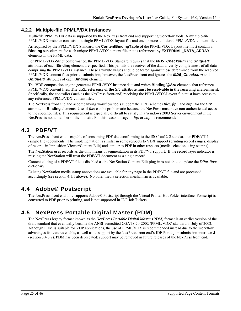## **4.2.2 Multiple-file PPML/VDX instances**

Multi-file PPML/VDX data is supported by the NexPress front end and supporting workflow tools. A multiple-file PPML/VDX instance consists of a single PPML/VDX-layout file and one or more additional PPML/VDX-content files.

As required by the PPML/VDX Standard, the **ContentBindingTable** of the PPML/VDX-Layout file must contain a **Binding** sub-element for each unique PPML/VDX content file that is referenced by **EXTERNAL\_DATA\_ARRAY** elements in the PPML data.

For PPML/VDX-Strict conformance, the PPML/VDX Standard requires that the *MD5\_Checksum* and *UniqueID* attributes of each **Binding** element are specified. This permits the receiver of the data to verify completeness of all data comprising the PPML/VDX instance. These attribute values should be tested against those determined from the resolved PPML/VDX-content files prior to submission; however, the NexPress front end ignores the *MD5\_Checksum* and *UniqueID* attributes of each **Binding** element.

The VDP composition engine generates PPML/VDX instance data and writes **Binding/@***Src* elements that reference PPML/VDX-content files. **The URL reference of the** *Src* **attribute must be resolvable in the receiving environment.** Specifically, the controller (such as the NexPress front-end) receiving the PPML/VDX-Layout file must have access to any referenced PPML/VDX-content files.

The NexPress front end and accompanying workflow tools support the URL schemes *file:, ftp:,* and *http:* for the *Src* attribute of **Binding** elements. Use of *file*: can be problematic because the NexPress must have non-authenticated access to the specified files. This requirement is especially difficult to satisfy in a Windows 2003 Server environment if the NexPress is not a member of the domain. For this reason, usage of *ftp*: or *http*: is recommended.

## **4.3 PDF/VT**

The NexPress front end is capable of consuming PDF data conforming to the ISO 16612-2 standard for PDF/VT-1 (single file) documents. The implementation is similar in some respects to VDX support (printing record ranges, display of records in Imposition Viewer/Content Edit) and similar to PDF in other respects (media selection using stamps).

The NexStation uses records as the only means of segmentation in its PDF/VT support. If the record layer indicator is missing the NexStation will treat the PDF/VT document as a single record.

Content editing of a PDF/VT file is disabled as the NexStation Content Edit plug-in is not able to update the *DPartRoot*  dictionary.

Existing NexStation media stamp annotations are available for any page in the PDF/VT file and are processed accordingly (see section 4.1.1 above). No other media selection mechanism is available.

## **4.4 Adobe® Postscript**

The NexPress front end only supports Adobe® Postscript through the Virtual Printer Hot Folder interface. Postscript is converted to PDF prior to printing, and is not supported in JDF Job Tickets.

## **4.5 NexPress Portable Digital Master (PDM)**

The NexPress legacy format known as the *NexPress Portable Digital Master* (*PDM*) format is an earlier version of the draft standard that eventually became the ANSI-accredited CGATS.20-2002 (PPML/VDX) standard in July of 2002. Although PDM is suitable for VDP applications, the use of PPML/VDX is recommended instead due to the workflow advantages its features enable, as well as its support by the NexPress front end's JDF Portal job submission interface **J** (section 3.4.3.2). PDM has been deprecated; support may be removed in future releases of the NexPress front end.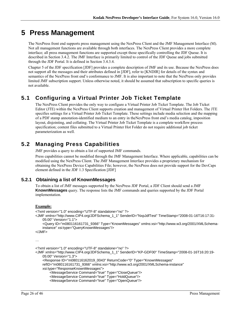# **5 Press Management**

The NexPress front end supports press management using the NexPress Client and the JMF Management Interface (M). Not all management functions are available through both interfaces. The NexPress Client provides a more complete interface; all press management functions are supported except those specifically controlling the JDF Queue. It is described in Section 3.4.2. The JMF Interface is primarily limited to control of the JDF Queue and jobs submitted through the JDF Portal. It is defined in Section 3.4.3.4.

Chapter 5 of the JDF specification [JDF] provides a complete description of JMF and its use. Because the NexPress does not support all the messages and their attributes defined in [JDF], refer to [KNDIR] for details of the syntax and semantics of the NexPress front end's conformance to JMF. It is also important to note that the NexPress only provides limited JMF subscription support. Unless otherwise noted, it should be assumed that subscription to specific queries is not available.

## **5.1 Configuring a Virtual Printer Job Ticket Template**

The NexPress Client provides the only way to configure a Virtual Printer Job Ticket Template. The Job Ticket Editor (JTE) within the NexPress Client supports creation and management of Virtual Printer Hot Folders. The JTE specifies settings for a Virtual Printer Job Ticket Template. These settings include media selection and the mapping of a PDF stamp annotation-identified medium to an entry in theNexPress front end's media catalog, imposition layout, disjointing, and collating. The Virtual Printer Job Ticket Template is a complete workflow process specification; content files submitted to a Virtual Printer Hot Folder do not require additional job ticket parameterization as well.

## **5.2 Managing Press Capabilities**

JMF provides a query to obtain a list of supported JMF commands.

Press capabilities cannot be modified through the JMF Management Interface. Where applicable, capabilities can be modified using the NexPress Client. The JMF Management Interface provides a proprietary mechanism for obtaining the NexPress Device Capabilities File; however, the NexPress does not provide support for the DevCaps element defined in the JDF 1.3 Specification [JDF]

### **5.2.1 Obtaining a list of KnownMessages**

To obtain a list of JMF messages supported by the NexPress JDF Portal, a JDF Client should send a JMF **KnownMessages** query. The response lists the JMF commands and queries supported by the JDF Portal implementation.

#### **Example:**

```
<?xml version="1.0" encoding="UTF-8" standalone="no" ?> 
<JMF xmlns="http://www.CIP4.org/JDFSchema_1_1" SenderID="NxpJdfTest" TimeStamp="2008-01-16T16:17:31-
    05:00" Version="1.1"> 
     <Query ID="m080116161731_9366" Type="KnownMessages" xmlns:xsi="http://www.w3.org/2001/XMLSchema-
    instance" xsi:type="QueryKnownMessages"/> 
</JMF> 
… 
<?xml version="1.0" encoding="UTF-8" standalone="no" ?> 
<JMF xmlns="http://www.CIP4.org/JDFSchema_1_1" SenderID="KP-GDF00" TimeStamp="2008-01-16T16:20:19-
    05:00" Version="1.3"> 
     <Response ID="m080116162019_0043" ReturnCode="0" Type="KnownMessages" 
    refID="m080116161731_9366" xmlns:xsi="http://www.w3.org/2001/XMLSchema-instance"
```

```
xsi:type="ResponseKnownMessages">
```

```
 <MessageService Command="true" Type="CloseQueue"/>
```

```
 <MessageService Command="true" Type="HoldQueue"/>
```

```
 <MessageService Command="true" Type="OpenQueue"/>
```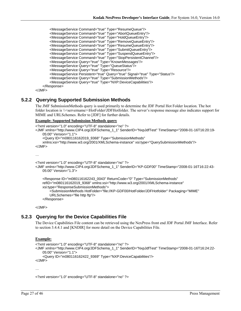```
 <MessageService Command="true" Type="ResumeQueue"/> 
 <MessageService Command="true" Type="AbortQueueEntry"/> 
 <MessageService Command="true" Type="HoldQueueEntry"/> 
 <MessageService Command="true" Type="RemoveQueueEntry"/> 
 <MessageService Command="true" Type="ResumeQueueEntry"/> 
 <MessageService Command="true" Type="SubmitQueueEntry"/> 
 <MessageService Command="true" Type="SuspendQueueEntry"/> 
 <MessageService Command="true" Type="StopPersistentChannel"/> 
        <MessageService Query="true" Type="KnownMessages"/> 
        <MessageService Query="true" Type="QueueStatus"/> 
        <MessageService Query="true" Type="Resource"/> 
        <MessageService Persistent="true" Query="true" Signal="true" Type="Status"/> 
        <MessageService Query="true" Type="SubmissionMethods"/> 
        <MessageService Query="true" Type="NXP:DeviceCapabilities"/> 
    </Response>
```
</JMF>

### **5.2.2 Querying Supported Submission Methods**

The JMF SubmissionMethods query is used primarily to determine the JDF Portal Hot Folder location. The hot folder location is  $\&$ servername>\HotFolder\JDFHotfolder. The server's response message also indicates support for MIME and URLSchemes. Refer to [JDF] for further details.

#### **Example: Supported Submission Methods query**

```
<?xml version="1.0" encoding="UTF-8" standalone="no" ?> 
<JMF xmlns="http://www.CIP4.org/JDFSchema_1_1" SenderID="NxpJdfTest" TimeStamp="2008-01-16T16:20:19-
    05:00" Version="1.1"> 
     <Query ID="m080116162019_9368" Type="SubmissionMethods" 
   xmlns:xsi="http://www.w3.org/2001/XMLSchema-instance" xsi:type="QuerySubmissionMethods"/> 
</JMF> 
… 
<?xml version="1.0" encoding="UTF-8" standalone="no" ?>
```

```
<JMF xmlns="http://www.CIP4.org/JDFSchema_1_1" SenderID="KP-GDF00" TimeStamp="2008-01-16T16:22:43-
   05:00" Version="1.3">
```

```
 <Response ID="m080116162243_0043" ReturnCode="0" Type="SubmissionMethods" 
refID="m080116162019_9368" xmlns:xsi="http://www.w3.org/2001/XMLSchema-instance" 
xsi:type="ResponseSubmissionMethods"> 
    <SubmissionMethods HotFolder="file://KP-GDF00/HotFolder/JDFHotfolder" Packaging="MIME" 
    URLSchemes="file http ftp"/> 
 </Response>
```
</JMF>

### **5.2.3 Querying for the Device Capabilities File**

The Device Capabilities File content can be retrieved using the NexPress front end JDF Portal JMF Interface. Refer to section 3.4.4.1 and [KNDIR] for more detail on the Device Capabilities File.

#### **Example:**

```
<?xml version="1.0" encoding="UTF-8" standalone="no" ?> 
<JMF xmlns="http://www.CIP4.org/JDFSchema_1_1" SenderID="NxpJdfTest" TimeStamp="2008-01-16T16:24:22-
   05:00" Version="1.1"> 
     <Query ID="m080116162422_9369" Type="NXP:DeviceCapabilities"/> 
</JMF>
```
…

```
<?xml version="1.0" encoding="UTF-8" standalone="no" ?>
```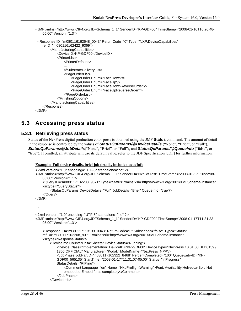```
<JMF xmlns="http://www.CIP4.org/JDFSchema_1_1" SenderID="KP-GDF00" TimeStamp="2008-01-16T16:26:48-
   05:00" Version="1.3"> 
  <Response ID="m080116162648_0043" ReturnCode="0" Type="NXP:DeviceCapabilities" 
    refID="m080116162422_9369"> 
         <ManufacturingCapabilities> 
             <DeviceID>KP-GDF00</DeviceID> 
            <PrinterList> 
                <PrinterDefaults> 
                … 
                </SubstrateDeliveryList> 
                <PageOrderList> 
                    <PageOrder Enum="FaceDown"/> 
                    <PageOrder Enum="FaceUp"/> 
                    <PageOrder Enum="FaceDownReverseOrder"/> 
                    <PageOrder Enum="FaceUpReverseOrder"/> 
                </PageOrderList> 
            </FinishingOptions> 
        </ManufacturingCapabilities> 
    </Response> 
</JMF>
```
## **5.3 Accessing press status**

### **5.3.1 Retrieving press status**

Status of the NexPress digital production color press is obtained using the JMF **Status** command. The amount of detail in the response is controlled by the values of *StatusQuParams/@DeviceDetails* ("None", "Brief", or "Full"), *StatusQuParams/@JobDetails*("None", "Brief", or "Full"), and *StatusQuParams/@QueueInfo* ("false", or "true"). If omitted, an attribute will use its default value; refer to the JDF Specification [JDF] for further information.

#### **Example: Full device details, brief job details, include queueInfo**

```
<?xml version="1.0" encoding="UTF-8" standalone="no" ?> 
<JMF xmlns="http://www.CIP4.org/JDFSchema_1_1" SenderID="NxpJdfTest" TimeStamp="2008-01-17T10:22:08-
   05:00" Version="1.1"> 
     <Query ID="m080117102208_9371" Type="Status" xmlns:xsi="http://www.w3.org/2001/XMLSchema-instance" 
   xsi:type="QueryStatus"> 
         <StatusQuParams DeviceDetails="Full" JobDetails="Brief" QueueInfo="true"/> 
     </Query> 
</JMF> 
… 
<?xml version="1.0" encoding="UTF-8" standalone="no" ?> 
<JMF xmlns="http://www.CIP4.org/JDFSchema_1_1" SenderID="KP-GDF00" TimeStamp="2008-01-17T11:31:33-
   05:00" Version="1.3"> 
     <Response ID="m080117113133_0043" ReturnCode="0" Subscribed="false" Type="Status" 
   refID="m080117102208_9371" xmlns:xsi="http://www.w3.org/2001/XMLSchema-instance" 
   xsi:type="ResponseStatus"> 
         <DeviceInfo CounterUnit="Sheets" DeviceStatus="Running"> 
            <Device Class="Implementation" DeviceID="KP-GDF00" DeviceType="NexPress 10.01.00 BLD0159 / 
            1300 OFFICIAL" Manufacturer="Kodak" ModelName="NexPress_NPP"/> 
            <JobPhase JobPartID="n080117102322_8468" PercentCompleted="100" QueueEntryID="KP-
            GDF00_565135" StartTime="2008-01-17T11:31:07-05:00" Status="InProgress" 
            StatusDetails="RIP'ing"> 
                <Comment Language="en" Name="NxpPreflightWarning">Font: Availability|Helvetica-Bold|Not 
                embedded|Embed fonts completely</Comment> 
             </JobPhase> 
         </DeviceInfo>
```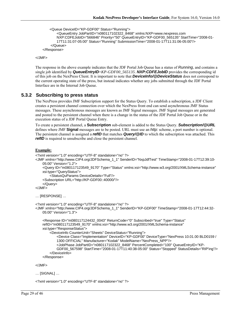```
 <Queue DeviceID="KP-GDF00" Status="Running">
```

```
<QueueEntry JobPartID="n080117102322_8468" xmlns:NXP=www.nexpress.com 
        NXP:CDFEJobID="566846" Priority="50" QueueEntryID="KP-GDF00_565135" StartTime="2008-01-
        17T11:31:07-05:00" Status="Running" SubmissionTime="2008-01-17T11:31:06-05:00"/> 
     </Queue> 
 </Response>
```
</JMF>

The response in the above example indicates that the JDF Portal Job Queue has a status of *Running*, and contains a single job identified by *QueueEntryID*=*KP-GDF00\_565135*. *NXP:CDFEJobID* provides the corresponding id of this job on the NexPress Client. It is important to note that *DeviceInfo/@DeviceStatus* does not correspond to the current operating state of the press, but instead indicates whether any jobs submitted through the JDF Portal Interface are in the Internal Job Queue.

#### **5.3.2 Subscribing to press status**

The NexPress provides JMF Subscription support for the Status Query. To establish a subscription, a JDF Client creates a persistent channel connection over which the NexPress front end can send asynchronous JMF Status messages. These asynchronous messages are known as JMF Signal messages. JMF Signal messages are generated and posted to the persistent channel when there is a change in the status of the JDF Portal Job Queue or in the execution status of a JDF Portal Queue Entry.

To create a persistent channel, a **Subscription** sub-element is added to the Status Query. *Subscription/@URL* defines where JMF **Signal** messages are to be posted. URL must use an *http:* scheme, a port number is optional. The persistent channel is assigned a *refID* that matches *Query/@ID* to which the subscription was attached. This *refID* is required to unsubscribe and close the persistent channel.

#### **Example:**

```
<?xml version="1.0" encoding="UTF-8" standalone="no" ?> 
<JMF xmlns="http://www.CIP4.org/JDFSchema_1_1" SenderID="NxpJdfTest" TimeStamp="2008-01-17T12:39:10-
    05:00" Version="1.2"> 
     <Query ID="m080117123549_9170" Type="Status" xmlns:xsi="http://www.w3.org/2001/XMLSchema-instance" 
    xsi:type="QueryStatus"> 
         <StatusQuParams DeviceDetails="Full"/> 
     <Subscription URL="http://KP-GDF00::40000/"/> 
     </Query> 
</JMF> 
… [RESPONSE] … 
<?xml version="1.0" encoding="UTF-8" standalone="no" ?> 
<JMF xmlns="http://www.CIP4.org/JDFSchema_1_1" SenderID="KP-GDF00" TimeStamp="2008-01-17T12:44:32-
    05:00" Version="1.3"> 
     <Response ID="m080117124432_0043" ReturnCode="0" Subscribed="true" Type="Status" 
    refID="m080117123549_9170" xmlns:xsi="http://www.w3.org/2001/XMLSchema-instance" 
    xsi:type="ResponseStatus"> 
         <DeviceInfo CounterUnit="Sheets" DeviceStatus="Running">
```
<Device Class="Implementation" DeviceID="KP-GDF00" DeviceType="NexPress 10.01.00 BLD0159 / 1300 OFFICIAL" Manufacturer="Kodak" ModelName="NexPress\_NPP"/> <JobPhase JobPartID="n080117102322\_8468" PercentCompleted="100" QueueEntryID="KP-

GDF00\_567598" StartTime="2008-01-17T11:40:38-05:00" Status="Stopped" StatusDetails="RIP'ing"/>

</DeviceInfo>

```
 </Response>
```
</JMF>

… [SIGNAL] …

<?xml version="1.0" encoding="UTF-8" standalone="no" ?>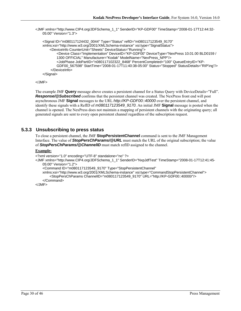<JMF xmlns="http://www.CIP4.org/JDFSchema\_1\_1" SenderID="KP-GDF00" TimeStamp="2008-01-17T12:44:32- 05:00" Version="1.3">

```
 <Signal ID="m080117124432_0044" Type="Status" refID="m080117123549_9170" 
xmlns:xsi="http://www.w3.org/2001/XMLSchema-instance" xsi:type="SignalStatus"> 
     <DeviceInfo CounterUnit="Sheets" DeviceStatus="Running"> 
        <Device Class="Implementation" DeviceID="KP-GDF00" DeviceType="NexPress 10.01.00 BLD0159 / 
        1300 OFFICIAL" Manufacturer="Kodak" ModelName="NexPress_NPP"/> 
        <JobPhase JobPartID="n080117102322_8468" PercentCompleted="100" QueueEntryID="KP-
        GDF00_567598" StartTime="2008-01-17T11:40:38-05:00" Status="Stopped" StatusDetails="RIP'ing"/> 
     </DeviceInfo> 
 </Signal>
```

```
</JMF>
```
The example JMF **Query** message above creates a persistent channel for a Status Query with DeviceDetails="Full". *Response/@Subscribed* confirms that the persistent channel was created. The NexPress front end will post asynchronous JMF **Signal** messages to the URL *http://KP-GDF00::40000* over the persistent channel, and identify these signals with a RefID of *m080117123549\_9170*. An initial JMF **Signal** message is posted when the channel is opened. The NexPress does not maintain a mapping of persistent channels with the originating query; all generated signals are sent to every open persistent channel regardless of the subscription request.

### **5.3.3 Unsubscribing to press status**

To close a persistent channel, the JMF **StopPersistentChannel** command is sent to the JMF Management Interface. The value of *StopPersChParams/@URL* must match the URL of the original subscription; the value of *StopPersChParams/@ChannelID* must match refID assigned to the channel.

#### **Example:**

```
<?xml version="1.0" encoding="UTF-8" standalone="no" ?>
```
<JMF xmlns="http://www.CIP4.org/JDFSchema\_1\_1" SenderID="NxpJdfTest" TimeStamp="2008-01-17T12:41:45- 05:00" Version="1.2">

```
 <Command ID="m080117123549_9170" Type="StopPersistentChannel"
```

```
xmlns:xsi="http://www.w3.org/2001/XMLSchema-instance" xsi:type="CommandStopPersistentChannel"> 
     <StopPersChParams ChannelID="m080117123549_9170" URL="http://KP-GDF00::40000/"/>
```

```
 </Command> 
</JMF>
```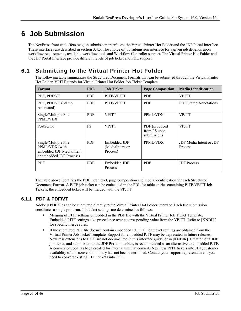# **6 Job Submission**

The NexPress front end offers two job submission interfaces: the Virtual Printer Hot Folder and the JDF Portal Interface. These interfaces are described in section 3.4.3. The choice of job submission interface for a given job depends upon workflow requirements, available workflow tools and Workflow Controller support. The Virtual Printer Hot Folder and the JDF Portal Interface provide different levels of job ticket and PDL support.

## **6.1 Submitting to the Virtual Printer Hot Folder**

The following table summarizes the Structured Document Formats that can be submitted through the Virtual Printer Hot Folder. VPJTT stands for Virtual Printer Hot Folder Job Ticket Template.

| Format                                                                                          | <b>PDL</b> | <b>Job Ticket</b>                           | <b>Page Composition</b>                      | <b>Media Identification</b>        |
|-------------------------------------------------------------------------------------------------|------------|---------------------------------------------|----------------------------------------------|------------------------------------|
| PDF, PDF/VT                                                                                     | <b>PDF</b> | PJTF/VPJTT                                  | <b>PDF</b>                                   | <b>VPJTT</b>                       |
| PDF, PDF/VT (Stamp<br>Annotated)                                                                | <b>PDF</b> | PJTF/VPJTT                                  | <b>PDF</b>                                   | <b>PDF</b> Stamp Annotations       |
| Single/Multiple File<br>PPML/VDX                                                                | <b>PDF</b> | <b>VPJTT</b>                                | PPML/VDX                                     | <b>VPJTT</b>                       |
| PostScript                                                                                      | <b>PS</b>  | <b>VPJTT</b>                                | PDF (produced<br>from PS upon<br>submission) | <b>VPJTT</b>                       |
| Single/Multiple File<br>PPML/VDX (with<br>embedded JDF MediaIntent,<br>or embedded JDF Process) | <b>PDF</b> | Embedded JDF<br>(MediaIntent or<br>Process) | PPML/VDX                                     | JDF Media Intent or JDF<br>Process |
| <b>PDF</b>                                                                                      | <b>PDF</b> | Embedded JDF<br>Process                     | <b>PDF</b>                                   | <b>JDF</b> Process                 |

The table above identifies the PDL, job ticket, page composition and media identification for each Structured Document Format. A PJTF job ticket can be embedded in the PDL for table entries containing PJTF/VPJTT Job Tickets; the embedded ticket will be merged with the VPJTT.

## **6.1.1 PDF & PDF/VT**

Adobe® PDF files can be submitted directly to the Virtual Printer Hot Folder interface. Each file submission constitutes a single print run. Job ticket settings are determined as follows:

- Merging of PJTF settings embedded in the PDF file with the Virtual Printer Job Ticket Template. Embedded PJTF settings take precedence over a corresponding value from the VPJTT. Refer to [KNDIR] for specific merge rules.
- If the submitted PDF file doesn't contain embedded PJTF, all job ticket settings are obtained from the Virtual Printer Job Ticket Template. Support for embedded PJTF may be deprecated in future releases. NexPress extensions to PJTF are not documented in this interface guide, or in [KNDIR]. Creation of a JDF job ticket, and submission to the JDF Portal interface, is recommended as an alternative to embedded PJTF. A conversion tool has been created for internal use that converts NexPress PJTF tickets into JDF; customer availablity of this conversion library has not been determined. Contact your support representative if you need to convert existing PJTF tickets into JDF.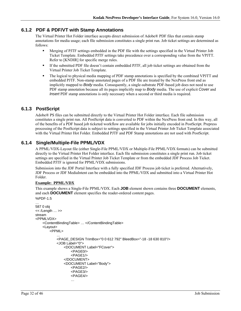### **6.1.2 PDF & PDF/VT with Stamp Annotations**

The Virtual Printer Hot Folder interface accepts direct submission of Adobe® PDF files that contain stamp annotations for media usage; each file submission constitutes a single print run. Job ticket settings are determined as follows:

- Merging of PJTF settings embedded in the PDF file with the settings specified in the Virtual Printer Job Ticket Template. Embedded PJTF settings take precedence over a corresponding value from the VPJTT. Refer to [KNDIR] for specific merge rules.
- If the submitted PDF file doesn't contain embedded PJTF, all job ticket settings are obtained from the Virtual Printer Job Ticket Template.
- The logical to physical media mapping of PDF stamp annotations is specified by the combined VPJTT and embedded PJTF. Non-stamp annotated pages of a PDF file are treated by the NexPress front end as implicitly mapped to *Body* media. Consequently, a single-substrate PDF-based job does not need to use PDF stamp annotation because all its pages implicitly map to *Body* media. The use of explicit *Cover* and *Insert* PDF stamp annotations is only necessary when a second or third media is required.

### **6.1.3 PostScript**

Adobe® PS files can be submitted directly to the Virtual Printer Hot Folder interface. Each file submission constitutes a single print run. All PostScript data is converted to PDF within the NexPress front end. In this way, all of the benefits of a PDF based job ticketed workflow are available for jobs initially encoded in PostScript. Prepress processing of the PostScript data is subject to settings specified in the Virtual Printer Job Ticket Template associated with the Virtual Printer Hot Folder. Embedded PJTF and PDF Stamp annotations are not used with PostScript.

### **6.1.4 Single/Multiple-File PPML/VDX**

A PPML/VDX-Layout file (either Single-File PPML/VDX or Multiple-File PPML/VDX formats) can be submitted directly to the Virtual Printer Hot Folder interface. Each file submission constitutes a single print run. Job ticket settings are specified in the Virtual Printer Job Ticket Template or from the embedded JDF Process Job Ticket. Embedded PJTF is ignored for PPML/VDX submissions.

Submission into the JDF Portal Interface with a fully specified JDF Process job ticket is preferred. Alternatively, JDF Process or JDF MediaIntent can be embedded into the PPML/VDX and submitted into a Virtual Printer Hot Folder.

#### **Example: PPML/VDX**

This example shows a Single-File PPML/VDX. Each **JOB** element shown contains three **DOCUMENT** elements, and each **DOCUMENT** element specifies the reader-ordered content pages. %PDF-1.5

```
… 
587 0 obj 
<< /Length … >> 
stream 
<PPMLVDX> 
    <ContentBindingTable> … </ContentBindingTable> 
    <Layout> 
        <PPML> 
            … 
            <PAGE_DESIGN TrimBox="0 0 612 792" BleedBox="-18 -18 630 810"/> 
            <JOB Label="0"> 
                <DOCUMENT Label="FCover"> 
                    <PAGE0/> 
                    <PAGF1/></DOCUMENT> 
                <DOCUMENT Label="Body"> 
                    <PAGE2/> 
                    <PAGE3/> 
                    <PAGE4/> 
                    …
```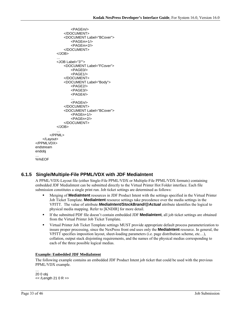```
<PAGEm/> 
               </DOCUMENT> 
               <DOCUMENT Label="BCover"> 
                   <PAGEm+1/> 
                   <PAGEm+2/> 
               </DOCUMENT> 
           </JOB> 
           … 
           <JOB Label="3""> 
               <DOCUMENT Label="FCover"> 
                   <PAGE0/> 
                   <PAGE1/> 
               </DOCUMENT> 
               <DOCUMENT Label="Body"> 
                   <PAGE2/> 
                   <PAGE3/> 
                   <PAGE4/> 
                   … 
                   <PAGEn/> 
               </DOCUMENT> 
               <DOCUMENT Label="BCover"> 
                   <PAGEn+1/> 
                   <PAGEn+2/> 
               </DOCUMENT> 
           </JOB> 
       </PPML> 
    </Layout> 
</PPMLVDX> 
endstream 
endobj 
… 
%%EOF
```
## **6.1.5 Single/Multiple-File PPML/VDX with JDF MediaIntent**

A PPML/VDX-Layout file (either Single-File PPML/VDX or Multiple-File PPML/VDX formats) containing embedded JDF MediaIntent can be submitted directly to the Virtual Printer Hot Folder interface. Each file submission constitutes a single print run. Job ticket settings are determined as follows:

- Merging of **MediaIntent** resources in JDF Product Intent with the settings specified in the Virtual Printer Job Ticket Template. **MediaIntent** resource settings take precedence over the media settings in the VPJTT. The value of attribute *MediaIntent/StockBrand/@Actual* attribute identifies the logical to physical media mapping. Refer to [KNDIR] for more detail.
- If the submitted PDF file doesn't contain embedded JDF **MediaIntent**, all job ticket settings are obtained from the Virtual Printer Job Ticket Template.
- Virtual Printer Job Ticket Template settings MUST provide appropriate default process parameterization to insure proper processing, since the NexPress front end uses only the **MediaIntent** resource. In general, the VPJTT specifies imposition layout, sheet-loading parameters (i.e. page distribution scheme, etc…), collation, output stack disjointing requirements, and the names of the physical medias corresponding to each of the three possible logical medias.

#### **Example: Embedded JDF MediaIntent**

The following example contains an embedded JDF Product Intent job ticket that could be used with the previous PPML/VDX example.

… 20 0 obj << /Length 21 0 R >>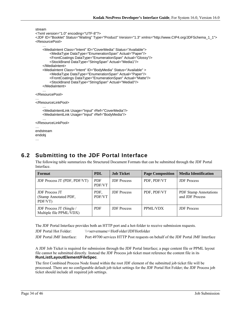```
stream 
<?xml version="1.0" encoding="UTF-8"?> 
<JDF ID="Booklet" Status="Waiting" Type="Product" Version="1.3" xmlns="http://www.CIP4.org/JDFSchema_1_1"> 
<ResourcePool> 
    … 
    <MediaIntent Class="Intent" ID="CoverMedia" Status="Available"> 
        <MediaType DataType="EnumerationSpan" Actual="Paper"/> 
        <FrontCoatings DataType="EnumerationSpan" Actual="Glossy"/> 
        <StockBrand DataType="StringSpan" Actual="Media1"/> 
    </MediaIntent> 
    <MediaIntent Class="Intent" ID="BodyMedia" Status="Available" > 
        <MediaType DataType="EnumerationSpan" Actual="Paper"/> 
        <FrontCoatings DataType="EnumerationSpan" Actual="Matte"/> 
        <StockBrand DataType="StringSpan" Actual="Media0"/> 
    </MediaIntent> 
    … 
</ResourcePool> 
… 
</ResourceLinkPool> 
    … 
    <MediaIntentLink Usage="Input" rRef="CoverMedia"/> 
    <MediaIntentLink Usage="Input" rRef="BodyMedia"/> 
    … 
</ResourceLinkPool> 
… 
endstream 
endobj
```

```
…
```
## **6.2 Submitting to the JDF Portal Interface**

The following table summarizes the Structured Document Formats that can be submitted through the JDF Portal Interface.

| Format                                                    | <b>PDL</b>           | <b>Job Ticket</b>  | <b>Page Composition</b> | <b>Media Identification</b>                     |
|-----------------------------------------------------------|----------------------|--------------------|-------------------------|-------------------------------------------------|
| JDF Process JT (PDF, PDF/VT)                              | <b>PDF</b><br>PDF/VT | <b>JDF</b> Process | PDF, PDF/VT             | <b>JDF</b> Process                              |
| <b>JDF</b> Process JT<br>(Stamp Annotated PDF,<br>PDF/VT) | PDF.<br>PDF/VT       | <b>JDF</b> Process | PDF, PDF/VT             | <b>PDF</b> Stamp Annotations<br>and JDF Process |
| JDF Process JT (Single /<br>Multiple file PPML/VDX)       | <b>PDF</b>           | <b>JDF</b> Process | PPML/VDX                | <b>JDF</b> Process                              |

The JDF Portal Interface provides both an HTTP port and a hot-folder to receive submission requests.

JDF Portal Hot Folder: \\<servername>\HotFolder\JDFHotfolder

JDF Portal JMF Interface: Port 49700 services HTTP Post requests on behalf of the JDF Portal JMF Interface

A JDF Job Ticket is required for submission through the JDF Portal Interface; a page content file or PPML layout file cannot be submitted directly. Instead the JDF Process job ticket must reference the content file in its **RunList/LayoutElement/FileSpec**.

The first Combined Process Node found within the root JDF element of the submitted job ticket file will be processed. There are no configurable default job ticket settings for the JDF Portal Hot Folder; the JDF Process job ticket should include all required job settings.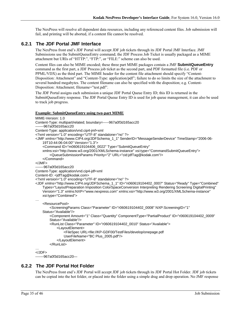The NexPress will resolve all dependent data resources, including any referenced content files. Job submission will fail, and printing will be aborted, if a content file cannot be resolved.

### **6.2.1 The JDF Portal JMF Interface**

The NexPress front end's JDF Portal will accept JDF job tickets through its JDF Portal JMF Interface. JMF Submissions use the SubmitQueueEntry command; the JDF Process Job Ticket is usually packaged as a MIME attachment but URIs of "HTTP:", "FTP:", or "FILE:" scheme can also be used.

Content files can also be MIME encoded; these three part MIME packages contain a JMF **SubmitQueueEntry** command as the first part, a JDF Process job ticket as the second part, and PDF formatted file (i.e. PDF or PPML/VDX) as the third part. The MIME header for the content file attachment should specify "Content-Disposition: Attachment" and "Content-Type: application/pdf"; failure to do so limits the size of the attachment to several hundred megabytes. The content filename can also be specified with the disposition; e.g. Content-Disposition: Attachment; filename="test.pdf".

The JDF Portal assigns each submission a unique JDF Portal Queue Entry ID; this ID is returned in the SubmitQueueEntry response. The JDF Portal Queue Entry ID is used for job queue management, it can also be used to track job progress.

#### **Example: SubmitQueueEntry using two-part MIME**

```
MIME-Version: 1.0 
Content-Type: multipart/related; boundary=-----967a0f3d165acc20 
-------967a0f3d165acc20 
Content-Type: application/vnd.cip4-jmf+xml 
<?xml version="1.0" encoding="UTF-8" standalone="no" ?> 
<JMF xmlns="http://www.CIP4.org/JDFSchema_1_1" SenderID="MessageSenderDevice" TimeStamp="2006-06-
    19T10:44:06-04:00" Version="1.3"> 
     <Command ID="m060619104406_0022" Type="SubmitQueueEntry" 
    xmlns:xsi="http://www.w3.org/2001/XMLSchema-instance" xsi:type="CommandSubmitQueueEntry"> 
         <QueueSubmissionParams Priority="2" URL="cid:jdfTag@kodak.com"/> 
     </Command> 
</JMF> 
-------967a0f3d165acc20 
Content-Type: application/vnd.cip4-jdf+xml 
Content-ID: <jdfTag@kodak.com>
<?xml version="1.0" encoding="UTF-8" standalone="no" ?> 
<JDF xmlns="http://www.CIP4.org/JDFSchema_1_1" ID="n060619104402_0007" Status="Ready" Type="Combined" 
    Types="LayoutPreparation Imposition ColorSpaceConversion Interpreting Rendering Screening DigitalPrinting" 
    Version="1.3" xmlns:NXP="www.nexpress.com" xmlns:xsi="http://www.w3.org/2001/XMLSchema-instance" 
    xsi:type="Combined"> 
… 
     <ResourcePool> 
         <ScreeningParams Class="Parameter" ID="r060619104402_0008" NXP:ScreeningID="1" 
    Status="Available"/> 
        <Component Amount="1" Class="Quantity" ComponentType="PartialProduct" ID="r060619104402_0009" 
        Status="Available"/> 
         <RunList Class="Parameter" ID="r060619104402_0010" Status="Available"> 
             <LayoutElement> 
                 <FileSpec URL=file://KP-GDF00/TestFiles/develop/onepage.pdf 
                UserFileName="BC Plus_2005.pdf"/> 
             </LayoutElement> 
         </RunList> 
… 
</JDF> 
-------967a0f3d165acc20—
```
### **6.2.2 The JDF Portal Hot Folder**

The NexPress front end's JDF Portal will accept JDF job tickets through its JDF Portal Hot Folder. JDF job tickets can be copied into the hot folder, or placed into the folder using a simple drag and drop operation. No JMF response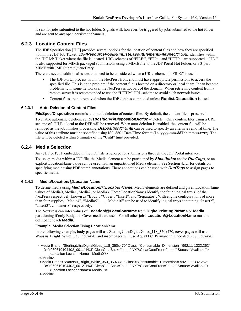is sent for jobs submitted to the hot folder. Signals will, however, be triggered by jobs submitted to the hot folder, and are sent to any open persistent channels.

### **6.2.3 Locating Content Files**

The JDF Specification [JDF] provides several options for the location of content files and how they are specified within the JDF Job Ticket. *JDF/ResourcePool/RunList/LayoutElement/FileSpec/@URL* identifies within the JDF Job Ticket where the file is located. URL schemes of "FILE:", "FTP:", and "HTTP:" are supported. "CID:" is also supported for MIME packaged submissions using a MIME file to the JDF Portal Hot Folder, or a 3-part MIME with JMF SubmitQueueEntry.

There are several additional issues that need to be considered when a URL scheme of "FILE:" is used:

- The JDF Portal process within the NexPress front end must have appropriate permissions to access the specified file. This is not a problem if the content file is located on a directory or local share. It can become problematic in some networks if the NexPress is not part of the domain. When retrieving content from a remote server it is recommended to use the "HTTP:" URL scheme to avoid such network issues.
- Content files are not removed when the JDF Job has completed unless **Runlist/Disposition** is used.

#### **6.2.3.1 Auto-Deletion of Content Files**

**FileSpec/Disposition** controls automatic deletion of content files. By default, the content file is preserved.

To enable automatic deletion, set *Disposition/@DispositionAction*="Delete". Only content files using a URL scheme of "FILE:" local to the DFE will be removed. When auto-deletion is enabled, the content file will be removed as the job finishes processing. *Disposition/@Until* can be used to specify an alternate removal time. The value of this attribute must be specified using ISO 8601 Date/Time format (i.e. yyyy-mm-ddThh:mm:ss-tz:tz). The file will be deleted within 5 minutes of the "Until" time provided.

#### **6.2.4 Media Selection**

Any JDF or PJTF embedded in the PDF file is ignored for submissions through the JDF Portal interface.

To assign media within a JDF file, the Media element can be partitioned by *SheetIndex* and/or *RunTags*, or an explicit LocationName value can be used with an unpartitioned Media element. See Section 4.1.1 for details on specifying media using PDF stamp annotations. These annotations can be used with *RunTags* to assign pages to specific media.

#### **6.2.4.1 Media/Location/@LocationName**

To define media using *Media/Location/@LocationName*, Media elements are defined and given LocationName values of Media0, Media1, Media2, or Media3. These LocationNames identify the four "logical trays" of the NexPress respectively known as "Body", "Cover", "Insert", and "Separator". With engine configurations of more than four supplies, "Media4", "Media5", …, "Media10" can be used to identify logical trays containing "Insert2", "Insert3", ... "Insert8" respectively.

The NexPress can infer values of **Location/@LocationName** from **DigitalPrintingParams** or **Media** partitioning if only Body and Cover media are used. For all other jobs, **Location/@LocationName** must be defined for each **Media**.

#### **Example: Media Selection Using LocationName**

In the following example, body pages will use SterlingUltraDigitalGloss\_118\_350x470, cover pages will use Wausau\_Bright\_White\_350\_350x470, and insert pages will use AquaTEC\_Permanent\_Uncoated\_237\_350x470.

 <Media Brand="SterlingUltraDigitalGloss\_118\_350x470" Class="Consumable" Dimension="992.11 1332.262" ID="r060619104402\_0011" NXP:ClearCoatBack="none" NXP:ClearCoatFront="none" Status="Available"> <Location LocationName="Media0"/>

</Media>

 <Media Brand="Wausau\_Bright\_White\_350\_350x470" Class="Consumable" Dimension="992.11 1332.262" ID="r060619104402\_0012" NXP:ClearCoatBack="none" NXP:ClearCoatFront="none" Status="Available"> <Location LocationName="Media1"/>

</Media>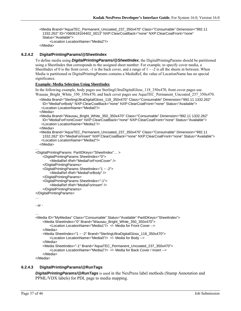<Media Brand="AquaTEC\_Permanent\_Uncoated\_237\_350x470" Class="Consumable" Dimension="992.11 1332.262" ID="r060619104402\_0013" NXP:ClearCoatBack="none" NXP:ClearCoatFront="none" Status="Available"> <Location LocationName="Media2"/>

```
 </Media>
```
#### **6.2.4.2 DigitalPrintingParams/@SheetIndex**

To define media using *DigitalPrintingParams/@SheetIndex*, the DigitalPrintingParams should be partitioned using a SheetIndex that corresponds to the assigned sheet number. For example, to specify cover media, a SheetIndex of 0 is the front cover, -1 is the back cover, and a range of  $1 \sim -2$  is all the sheets in between. When Media is partitioned or DigitalPrintingParams contains a MediaRef, the value of LocationName has no special significance.

#### **Example: Media Selection Using SheetIndex**

In the following example, body pages use SterlingUltraDigitalGloss\_118\_350x470, front cover pages use Wausau\_Bright\_White\_350\_350x470, and back cover pages use AquaTEC\_Permanent\_Uncoated\_237\_350x470.

```
 <Media Brand="SterlingUltraDigitalGloss_118_350x470" Class="Consumable" Dimension="992.11 1332.262" 
 ID="MediaForBody" NXP:ClearCoatBack="none" NXP:ClearCoatFront="none" Status="Available"> 
  <Location LocationName="Media0"/>
```
</Media>

```
 <Media Brand="Wausau_Bright_White_350_350x470" Class="Consumable" Dimension="992.11 1332.262" 
 ID="MediaForFrontCover" NXP:ClearCoatBack="none" NXP:ClearCoatFront="none" Status="Available"> 
  <Location LocationName="Media1"/>
```
</Media>

```
 <Media Brand="AquaTEC_Permanent_Uncoated_237_350x470" Class="Consumable" Dimension="992.11 
 1332.262" ID="MediaForInsert" NXP:ClearCoatBack="none" NXP:ClearCoatFront="none" Status="Available"> 
  <Location LocationName="Media2"/>
```
</Media>

```
… 
<DigitalPrintingParams PartIDKeys="SheetIndex"… >
```

```
<DigitalPrintingParams SheetIndex="0">
```

```
<MediaRef rRef="MediaForFrontCover" />
```

```
</DigitalPrintingParams>
```

```
<DigitalPrintingParams SheetIndex="1 ~ -2"> 
    <MediaRef rRef="MediaForBody" />
```

```
</DigitalPrintingParams>
```

```
<DigitalPrintingParams SheetIndex="-1">
```

```
<MediaRef rRef="MediaForInsert" />
```

```
</DigitalPrintingParams>
```

```
</DigitalPrintingParams>
```
#### …

```
- or -
```
…

```
<Media ID="MyMedias" Class="Consumable" Status="Available" PartIDKeys="SheetIndex"> 
    <Media SheetIndex="0" Brand="Wausau_Bright_White_350_350x470"> 
        <Location LocationName="Media1"/> <!- Media for Front Cover --> 
    </Media> 
    <Media SheetIndex="1 ~ -2" Brand="SterlingUltraDigitalGloss_118_350x470"> 
        <Location LocationName="Media0"/> <!- Media for Body --> 
    </Media> 
    <Media SheetIndex="-1" Brand="AquaTEC_Permanent_Uncoated_237_350x470"> 
        <Location LocationName="Media2"/> <!- Media for Back Cover / Insert --> 
    </Media>
```
</Media>

#### **6.2.4.3 DigitalPrintingParams/@RunTags**

*DigitalPrintingParams/@RunTags* is used in the NexPress label methods (Stamp Annotation and PPML/VDX labels) for PDL page to media mapping.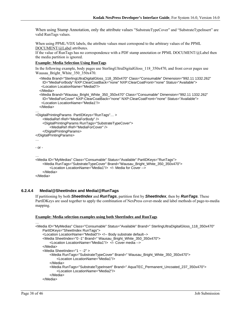When using Stamp Annotation, only the attribute values "SubstrateTypeCover" and "SubstrateTypeInsert" are valid RunTags values.

When using PPML/VDX labels, the attribute values must correspond to the arbitrary values of the PPML DOCUMENT/@Label attributes.

If the value of RunTags has no correspondence with a PDF stamp annotation or PPML DOCUMENT/@Label then the media partition is ignored.

#### **Example: Media Selection Using RunTags**

In the following example, body pages use SterlingUltraDigitalGloss 118 350x470, and front cover pages use Wausau\_Bright\_White\_350\_350x470.

```
 <Media Brand="SterlingUltraDigitalGloss_118_350x470" Class="Consumable" Dimension="992.11 1332.262" 
    ID="MediaForBody" NXP:ClearCoatBack="none" NXP:ClearCoatFront="none" Status="Available"> 
    <Location LocationName="Media0"/> 
   </Media> 
   <Media Brand="Wausau_Bright_White_350_350x470" Class="Consumable" Dimension="992.11 1332.262" 
    ID="MediaForCover" NXP:ClearCoatBack="none" NXP:ClearCoatFront="none" Status="Available"> 
    <Location LocationName="Media1"/> 
   </Media> 
… 
<DigitalPrintingParams PartIDKeys="RunTags"… > 
    <MediaRef rRef="MediaForBody" /> 
    <DigitalPrintingParams RunTags="SubstrateTypeCover"> 
        <MediaRef rRef="MediaForCover" /> 
    </DigitalPrintingParams> 
</DigitalPrintingParams> 
… 
- or - 
… 
<Media ID="MyMedias" Class="Consumable" Status="Available" PartIDKeys="RunTags"> 
    <Media RunTags="SubstrateTypeCover" Brand="Wausau_Bright_White_350_350x470"> 
        <Location LocationName="Media1"/> <!- Media for Cover --> 
    </Media> 
</Media>
```
#### **6.2.4.4 Media/@SheetIndex and Media/@RunTags**

If partitioning by both *SheetIndex* and *RunTags*, partition first by *SheetIndex*, then by *RunTags*. These PartIDKeys are used together to apply the combination of NexPress cover-mode and label methods of page-to-media mapping.

#### **Example: Media selection examples using both SheetIndex and RunTags**

```
<Media ID="MyMedias" Class="Consumable" Status="Available" Brand=" SterlingUltraDigitalGloss_118_350x470" 
    PartIDKeys="SheetIndex RunTags"> 
    <Location LocationName="Media0"/> <!-- Body substrate default--> 
    <Media SheetIndex="0 -1" Brand=" Wausau_Bright_White_350_350x470"> 
        <Location LocationName="Media1"/> <!- Cover media --> 
    </Media> 
    <Media SheetIndex="1 ~ -2" > 
        <Media RunTags="SubstrateTypeCover" Brand=" Wausau_Bright_White_350_350x470"> 
            <Location LocationName="Media1"/> 
        </Media> 
        <Media RunTags="SubstrateTypeInsert" Brand=" AquaTEC_Permanent_Uncoated_237_350x470"> 
            <Location LocationName="Media2"/> 
        </Media> 
    </Media>
```
…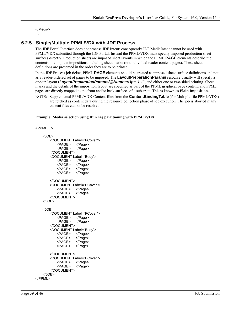</Media>

#### …

## **6.2.5 Single/Multiple PPML/VDX with JDF Process**

The JDF Portal Interface does not process JDF Intent; consequently JDF MediaIntent cannot be used with PPML/VDX submitted through the JDF Portal. Instead the PPML/VDX must specify imposed production sheet surfaces directly. Production sheets are imposed sheet layouts in which the PPML **PAGE** elements describe the contents of complete impositions including sheet marks (not individual reader content pages). These sheet definitions are presented in the order they are to be printed.

In the JDF Process job ticket, PPML **PAGE** elements should be treated as imposed sheet surface definitions and not as a reader-ordered set of pages to be imposed. The **LayoutPreparationParams** resource usually will specify a one-up layout (*LayoutPreparationParams/@NumberUp*="*1 1*", and either one or two-sided printing. Sheet marks and the details of the imposition layout are specified as part of the PPML graphical page content, and PPML pages are directly mapped to the front and/or back surfaces of a substrate. This is known as **Plain Imposition.**

NOTE: Supplemental PPML/VDX-Content files from the **ContentBindingTable** (for Multiple-file PPML/VDX) are fetched as content data during the resource collection phase of job execution. The job is aborted if any content files cannot be resolved.

#### **Example: Media selection using RunTag partitioning with PPML/VDX**

```
<PPML ...> 
... 
    <JOB> 
        <DOCUMENT Label="FCover"> 
            <PAGE> ... </Page> 
            <PAGE> ... </Page> 
        </DOCUMENT> 
        <DOCUMENT Label="Body"> 
            <PAGE> ... </Page> 
            <PAGE> ... </Page> 
            <PAGE> ... </Page> 
            <PAGE> ... </Page> 
            ... 
        </DOCUMENT> 
        <DOCUMENT Label="BCover"> 
            <PAGE> ... </Page> 
            <PAGE> ... </Page> 
        </DOCUMENT> 
    </JOB> 
    ... 
    <JOB> 
        <DOCUMENT Label="FCover"> 
            <PAGE> ... </Page> 
            <PAGE> ... </Page> 
        </DOCUMENT> 
        <DOCUMENT Label="Body"> 
            <PAGE> ... </Page> 
            <PAGE> ... </Page> 
            <PAGE> ... </Page> 
            <PAGE> ... </Page> 
            ... 
        </DOCUMENT> 
        <DOCUMENT Label="BCover"> 
            <PAGE> ... </Page> 
            <PAGE> ... </Page> 
        </DOCUMENT> 
    </JOB> 
</PPML>
```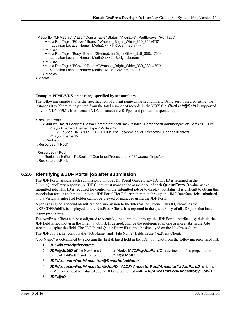```
<Media ID="MyMedias" Class="Consumable" Status="Available" PartIDKeys="RunTags"> 
    <Media RunTags="FCover" Brand="Wausau_Bright_White_350_350x470"> 
        <Location LocationName="Media1"/> <!- Cover media --> 
    </Media> 
    <Media RunTags="Body" Brand="SterlingUltraDigitalGloss_118_350x470"> 
        <Location LocationName="Media0"/> <!-- Body substrate --> 
    </Media> 
    <Media RunTags="BCover" Brand="Wausau_Bright_White_350_350x470"> 
        <Location LocationName="Media1"/> <!- Cover media --> 
    </Media> 
</Media> 
…
```
#### **Example: PPML/VDX print range specified by set numbers**

The following sample shows the specification of a print range using set numbers. Using zero-based counting, the instances 0 to 99 are to be printed from the total number of records in the VDX file. *RunList/@Sets* is supported only for VDX/PPML files because VDX instances are RIPped and printed independently.

```
… 
<ResourcePool>
```
…

```
<RunList ID="RLBooklet" Class="Parameter" Status="Available" ComponentGranularity="Set" Sets="0 ~ 99"> 
        <LayoutElement ElementType="Multiset"> 
            <FileSpec URL="File://KP-GDF00/TestFiles/develop/VDX/records10_pages10.vdx"/> 
        </LayoutElement> 
    </RunList> 
</ResourceLinkPool> 
… 
<ResourceLinkPool> 
    <RunListLink rRef="RLBooklet" CombinedProcessIndex="6" Usage="Input"/> 
</ResourceLinkPool>
```
### **6.2.6 Identifying a JDF Portal job after submission**

The JDF Portal assigns each submission a unique JDF Portal Queue Entry ID; this ID is returned in the SubmitQueueEntry response. A JDF Client must manage the association of each **QueueEntryID** value with a submitted job. This ID is required for control of the submitted job or to display job status. It is difficult to obtain this association for jobs submitted into the JDF Portal Hot Folder rather than through the JMF Interface. Jobs submitted into a Virtual Printer Hot Folder cannot be viewed or managed using the JDF Portal.

A job is assigned a second identifier upon submission to the Internal Job Queue. This ID, known as the NXP:CDFEJobID, is displayed on the NexPress Client. It is reported in the queueEntry of all JDF jobs that have begun processing.

The NexPress Client can be configured to identify jobs submitted through the JDF Portal Interface. By default, the JDF field is not shown in the Client's job list. If desired, change the preferences of one or more tabs in the Jobs screen to display the field. The JDF Portal Queue Entry ID cannot be displayed on the NexPress Client.

The JDF Job Ticket controls the "Job Name" and "File Name" fields in the NexPress Client.

"Job Name" is determined by selecting the first defined field in the JDF job ticket from the following prioritized list: 1. *JDF/@DescriptiveName*

- 2. *JDF/@JobID* of the NexPress Combined Node. If *JDF/@JobPartID* is defined, a '-' is prepended to value of JobPartID and combined with *JDF/@JobID*.
- 3. *JDF/AncestorPool/Ancestor/@DescriptiveName*
- 4. *JDF/AncestorPool/Ancestor/@JobID*. If *JDF/ AncestorPool/Ancestor/@JobPartID* is defined, a '-' is prepended to value of JobPartID and combined with *JDF/AncestorPool/Ancestor/@JobID*.
- 5. *JDF/@ID*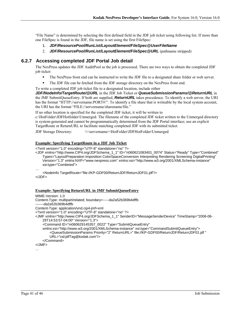"File Name" is determined by selecting the first defined field in the JDF job ticket using following list. If more than one FileSpec is found in the JDF, file name is set using the first FileSpec:

- 1. *JDF/ResourcePool/RunList/LayoutElement/FileSpec@UserFileName*
- 2. *JDF/ResourcePool/RunList/LayoutElement/FileSpec@URL* (pathname stripped)

## **6.2.7 Accessing completed JDF Portal Job detail**

The NexPress updates the JDF AuditPool as the job is processed. There are two ways to obtain the completed JDF job ticket:

- The NexPress front end can be instructed to write the JDF file to a designated share folder or web server.
- The JDF file can be fetched from the JDF storage directory on the NexPress front end.
- To write a completed JDF job ticket file to a designated location, include either

*JDF/NodeInfo/TargetRoute/@URL* in the JDF Job Ticket or *QueueSubmissionParams/@ReturnURL* in the JMF SubmitQueueEntry. If both are supplied, *ReturnURL* takes precedence. To identify a web server, the URI has the format "HTTP://servername:PORT#/". To identify a file share that is writeable by the local system account, the URI has the format "FILE://servername/sharename/file."

If no other location is specified for the completed JDF ticket, it will be written to

c:\HotFolder\JDFHotfolder\Unmerged. The filename of the completed JDF ticket written to the Unmerged directory is system-generated and cannot be programmatically determined from the JDF Portal interface; use an explicit TargetRoute or ReturnURL to facilitate matching completed JDF with its submitted ticket.

JDF Storage Directory: \\<servername>\HotFolder\JDFHotFolder\Unmerged

#### **Example: Specifying TargetRoute in a JDF Job Ticket**

<?xml version="1.0" encoding="UTF-8" standalone="no" ?>

<JDF xmlns="http://www.CIP4.org/JDFSchema\_1\_1" ID="n060621083401\_0074" Status="Ready" Type="Combined" Types="LayoutPreparation Imposition ColorSpaceConversion Interpreting Rendering Screening DigitalPrinting" Version="1.3" xmlns:NXP="www.nexpress.com" xmlns:xsi="http://www.w3.org/2001/XMLSchema-instance" xsi:type="Combined">

#### **Example: Specifying ReturnURL in JMF SubmitQueueEntry**

```
MIME-Version: 1.0 
Content-Type: multipart/related; boundary=-----da2a52b369b4dffb 
-------da2a52b369b4dffb 
Content-Type: application/vnd.cip4-jmf+xml 
<?xml version="1.0" encoding="UTF-8" standalone="no" ?> 
<JMF xmlns="http://www.CIP4.org/JDFSchema_1_1" SenderID="MessageSenderDevice" TimeStamp="2006-06-
    29T14:53:57-04:00" Version="1.3"> 
     <Command ID="m060629145357_0022" Type="SubmitQueueEntry" 
    xmlns:xsi="http://www.w3.org/2001/XMLSchema-instance" xsi:type="CommandSubmitQueueEntry"> 
        <QueueSubmissionParams Priority="2" ReturnURL=" file://KP-GDF00/ReturnJDF/ReturnJDF01.jdf " 
        URL="cid:jdfTag@kodak.com"/> 
     </Command> 
</JMF>
```
…

<sup>…</sup> 

<sup>&</sup>lt;NodeInfo TargetRoute="file://KP-GDF00/ReturnJDF/ReturnJDF01.jdf"/> </JDF>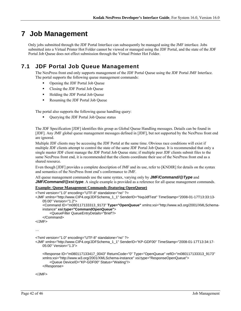# **7 Job Management**

Only jobs submitted through the JDF Portal Interface can subsequently be managed using the JMF interface. Jobs submitted into a Virtual Printer Hot Folder cannot be viewed or managed using the JDF Portal, and the state of the JDF Portal Job Queue does not effect submission through the Virtual Printer Hot Folder.

## **7.1 JDF Portal Job Queue Management**

The NexPress front end only supports management of the JDF Portal Queue using the JDF Portal JMF Interface. The portal supports the following queue management commands:

- Opening the JDF Portal Job Queue
- Closing the JDF Portal Job Queue
- **Holding the JDF Portal Job Queue**
- Resuming the JDF Portal Job Queue

The portal also supports the following queue handling query:

Querying the JDF Portal Job Queue status

The JDF Specification [JDF] identifies this group as Global Queue Handling messages. Details can be found in [JDF]. Any JMF global queue management messages defined in [JDF], but not supported by the NexPress front end are ignored.

Multiple JDF clients may be accessing the JDF Portal at the same time. Obvious race conditions will exist if multiple JDF clients attempt to control the state of the same JDF Portal Job Queue. It is recommended that only a single master JDF client manage the JDF Portal Job Queue state; if multiple peer JDF clients submit files to the same NexPress front end, it is recommended that the clients coordinate their use of the NexPress front end as a shared resource.

Even though [JDF] provides a complete description of JMF and its use, refer to [KNDIR] for details on the syntax and semantics of the NexPress front end's conformance to JMF.

All queue management commands use the same syntax, varying only by *JMF/Command/@Type* and *JMF/Command/@xsi:type*. A single example is provided as a reference for all queue management commands.

#### **Example: Queue Management Commands (featuring OpenQueue)**

```
<?xml version="1.0" encoding="UTF-8" standalone="no" ?> 
<JMF xmlns="http://www.CIP4.org/JDFSchema_1_1" SenderID="NxpJdfTest" TimeStamp="2008-01-17T13:33:13-
   05:00" Version="1.2"> 
     <Command ID="m080117133313_9173" Type="OpenQueue" xmlns:xsi="http://www.w3.org/2001/XMLSchema-
   instance" xsi:type="CommandOpenQueue"> 
         <QueueFilter QueueEntryDetails="Brief"/> 
     </Command> 
</JMF> 
… 
<?xml version="1.0" encoding="UTF-8" standalone="no" ?> 
<JMF xmlns="http://www.CIP4.org/JDFSchema_1_1" SenderID="KP-GDF00" TimeStamp="2008-01-17T13:34:17-
   05:00" Version="1.3"> 
     <Response ID="m080117133417_0043" ReturnCode="0" Type="OpenQueue" refID="m080117133313_9173" 
   xmlns:xsi="http://www.w3.org/2001/XMLSchema-instance" xsi:type="ResponseOpenQueue"> 
         <Queue DeviceID="KP-GDF00" Status="Waiting"/> 
     </Response>
```
</JMF>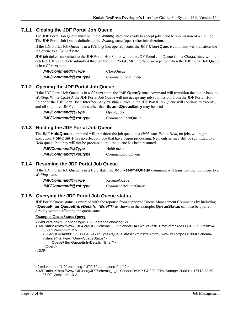### **7.1.1 Closing the JDF Portal Job Queue**

The JDF Portal Job Queue must be in the *Waiting* state and ready to accept jobs prior to submission of a JDF job. The JDF Portal Job Queue defaults to the *Waiting* state (open) after initialization.

If the JDF Portal Job Queue is in a *Waiting* (i.e. opened) state, the JMF **CloseQueue** command will transition the job queue to a *Closed* state.

JDF job tickets submitted to the JDF Portal Hot Folder while the JDF Portal Job Queue is in a *Closed* state will be deleted. JDF job tickets submitted through the JDF Portal JMF Interface are rejected when the JDF Portal Job Queue is in a *Closed* state.

| JMF/Command/@Type     | CloseOueue        |
|-----------------------|-------------------|
| JMF/Command/@xsi:type | CommandCloseQueue |

### **7.1.2 Opening the JDF Portal Job Queue**

If the JDF Portal Job Queue is in a *Closed* state, the JMF **OpenQueue** command will transition the queue back to *Waiting*. While *Closed*, the JDF Portal Job Queue will not accept any job submissions from the JDF Portal Hot Folder or the JDF Portal JMF Interface. Any existing entries in the JDF Portal Job Queue will continue to execute, and all supported JMF commands other than **SubmitQueueEntry** may be used

*JMF/Command/@Type* OpenQueue *JMF/Command/@xsi:type*CommandOpenQueue

### **7.1.3 Holding the JDF Portal Job Queue**

The JMF **HoldQueue** command will transition the job queue to a *Held* state. While *Held*, no jobs will begin execution. **HoldQueue** has no effect on jobs that have begun processing. New entries may still be submitted to a *Held* queue, but they will not be processed until the queue has been resumed.

| JMF/Command/@Type     | HoldOueue        |  |  |
|-----------------------|------------------|--|--|
| JMF/Command/@xsi:type | CommandHoldQueue |  |  |

## **7.1.4 Resuming the JDF Portal Job Queue**

If the JDF Portal Job Queue is in a Held state, the JMF **ResumeQueue** command will transition the job queue to a *Waiting* state.

| JMF/Command/@Type     | ResumeOueue        |
|-----------------------|--------------------|
| JMF/Command/@xsi:type | CommandResumeQueue |

### **7.1.5 Querying the JDF Portal Job Queue status**

JDF Portal Queue status is returned with the reponse from supported Queue Management Commands by including **<QueueFilter** *QueueEntryDetails="Brief***"/>** as shown in the example. **QueueStatus** can also be queried directly without affecting the queue state.

#### **Example: QueueStatus Query**

```
<?xml version="1.0" encoding="UTF-8" standalone="no" ?> 
<JMF xmlns="http://www.CIP4.org/JDFSchema_1_1" SenderID="NxpJdfTest" TimeStamp="2008-01-17T13:38:54-
    05:00" Version="1.2"> 
     <Query ID="m080117133854_9174" Type="QueueStatus" xmlns:xsi="http://www.w3.org/2001/XMLSchema-
    instance" xsi:type="QueryQueueStatus"> 
         <QueueFilter QueueEntryDetails="Brief"/> 
     </Query> 
</JMF>
```
…

```
<?xml version="1.0" encoding="UTF-8" standalone="no" ?>
```

```
<JMF xmlns="http://www.CIP4.org/JDFSchema_1_1" SenderID="KP-GDF00" TimeStamp="2008-01-17T13:38:59-
   05:00" Version="1.3">
```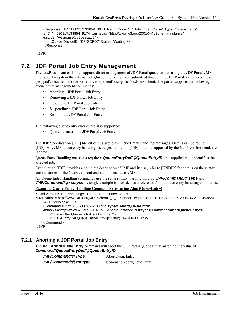```
 <Response ID="m080117133859_0043" ReturnCode="0" Subscribed="false" Type="QueueStatus" 
refID="m080117133854_9174" xmlns:xsi="http://www.w3.org/2001/XMLSchema-instance" 
xsi:type="ResponseQueueStatus"> 
     <Queue DeviceID="KP-GDF00" Status="Waiting"/> 
 </Response>
```
</JMF>

## **7.2 JDF Portal Job Entry Management**

The NexPress front end only supports direct management of JDF Portal queue entries using the JDF Portal JMF interface. Any job in the internal Job Queue, including those submitted through the JDF Portal, can also be held (stopped), resumed, aborted or removed (deleted) using the NexPress Client. The portal supports the following queue entry management commands:

- Aborting a JDF Portal Job Entry
- **Removing a JDF Portal Job Entry**
- Holding a JDF Portal Job Entry
- Suspending a JDF Portal Job Entry
- Resuming a JDF Portal Job Entry

The following queue entry queries are also supported:

Querying status of a JDF Portal Job Entry

The JDF Specification [JDF] identifies this group as Queue Entry Handling messages. Details can be found in [JDF]. Any JMF queue entry handling messages defined in [JDF], but not supported by the NexPress front end, are ignored.

Queue Entry Handling messages require a *QueueEntryDef/@QueueEntryID*; the supplied value identifies the affected job.

Even though [JDF] provides a complete description of JMF and its use, refer to [KNDIR] for details on the syntax and semantics of the NexPress front end's conformance to JMF.

All Queue Entry Handling commands use the same syntax, varying only by *JMF/Command/@Type* and *JMF/Command/@xsi:type.* A single example is provided as a reference for all queue entry handling commands.

#### **Example: Queue Entry Handling Commands (featuring AbortQueueEntry)**

```
<?xml version="1.0" encoding="UTF-8" standalone="no" ?> 
<JMF xmlns="http://www.CIP4.org/JDFSchema_1_1" SenderID="NxpJdfTest" TimeStamp="2006-06-21T14:09:24-
   04:00" Version="1.1"> 
     <Command ID="m060621140924_0092" Type="AbortQueueEntry"
   xmlns:xsi="http://www.w3.org/2001/XMLSchema-instance" xsi:type="CommandAbortQueueEntry">
         <QueueFilter QueueEntryDetails="Brief"/> 
         <QueueEntryDef QueueEntryID="Nxp2100@KP-GDF00_32"/> 
     </Command> 
</JMF>
```
### **7.2.1 Aborting a JDF Portal Job Entry**

The JMF **AbortQueueEntry** command will abort the JDF Portal Queue Entry matching the value of *Command/QueueEntryDef/@QueueEntryID*.

*JMF/Command/@Type*AbortQueueEntry *JMF/Command/@xsi:type*CommandAbortQueueEntry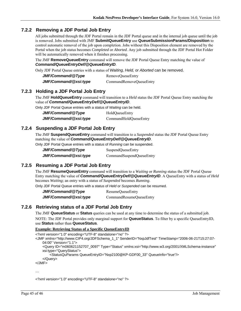### **7.2.2 Removing a JDF Portal Job Entry**

All jobs submitted through the JDF Portal remain in the JDF Portal queue and in the internal job queue until the job is removed. Jobs submitted with JMF **SubmitQueueEntry** use **QueueSubmissionParams/Disposition** to control automatic removal of the job upon completion. Jobs without this Disposition element are removed by the Portal when the job status becomes *Completed* or *Aborted*. Any job submitted through the JDF Portal Hot Folder will be automatically removed when it finishes processing.

The JMF **RemoveQueueEntry** command will remove the JDF Portal Queue Entry matching the value of *Command/QueueEntryDef/@QueueEntryID*.

Only JDF Portal Queue entries with a status of *Waiting, Held,* or *Aborted* can be removed.

| JMF/Command/@Type     | RemoveQueueEntry        |
|-----------------------|-------------------------|
| JMF/Command/@xsi:type | CommandRemoveQueueEntry |

### **7.2.3 Holding a JDF Portal Job Entry**

The JMF **HoldQueueEntry** command will transition to a *Held* status the JDF Portal Queue Entry matching the value of *Command/QueueEntryDef/@QueueEntryID*.

Only JDF Portal Queue entries with a status of *Waiting* can be held.

| JMF/Command/@Type     | HoldQueueEntry        |
|-----------------------|-----------------------|
| JMF/Command/@xsi:type | CommandHoldQueueEntry |

### **7.2.4 Suspending a JDF Portal Job Entry**

The JMF **SuspendQueueEntry** command will transition to a *Suspended* status the JDF Portal Queue Entry matching the value of *Command/QueueEntryDef/@QueueEntryID*.

Only JDF Portal Queue entries with a status of *Running* can be suspended.

| JMF/Command/@Type     | SuspendQueueEntry        |
|-----------------------|--------------------------|
| JMF/Command/@xsi:type | CommandSuspendQueueEntry |

## **7.2.5 Resuming a JDF Portal Job Entry**

The JMF **ResumeQueueEntry** command will transition to a *Waiting* or *Running* status the JDF Portal Queue Entry matching the value of *Command/QueueEntryDef/@QueueEntryID*. A QueueEntry with a status of *Held* becomes *Waiting*; an entry with a status of *Suspended* becomes *Running*.

Only JDF Portal Queue entries with a status of *Held* or *Suspended* can be resumed.

*JMF/Command/@Type*ResumeQueueEntry *JMF/Command/@xsi:type*CommandResumeQueueEntry

### **7.2.6 Retrieving status of a JDF Portal Job Entry**

The JMF **QueueStatus** or **Status** queries can be used at any time to determine the status of a submitted job.

NOTE: The JDF Portal provides only marginal support for **QueueStatus**. To filter by a specific QueueEntryID, use **Status** rather than **QueueStatus**.

#### **Example: Retrieving Status of a Specific QueueEntryID**

<?xml version="1.0" encoding="UTF-8" standalone="no" ?>

- <JMF xmlns="http://www.CIP4.org/JDFSchema\_1\_1" SenderID="NxpJdfTest" TimeStamp="2006-06-21T15:27:07- 04:00" Version="1.1">
	- <Query ID="m060621152707\_0097" Type="Status" xmlns:xsi="http://www.w3.org/2001/XMLSchema-instance" xsi:type="QueryStatus">

<StatusQuParams QueueEntryID="Nxp2100@KP-GDF00\_33" QueueInfo="true"/>

```
 </Query>
```
</JMF>

…

<?xml version="1.0" encoding="UTF-8" standalone="no" ?>